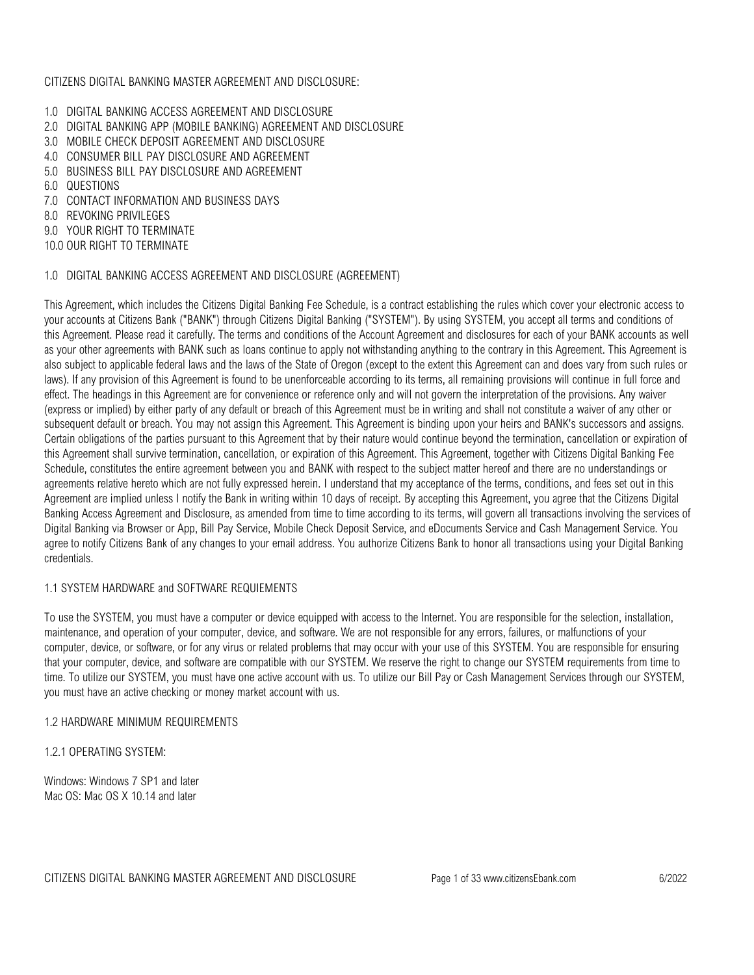### CITIZENS DIGITAL BANKING MASTER AGREEMENT AND DISCLOSURE:

- 1.0 DIGITAL BANKING ACCESS AGREEMENT AND DISCLOSURE
- 2.0 DIGITAL BANKING APP (MOBILE BANKING) AGREEMENT AND DISCLOSURE
- 3.0 MOBILE CHECK DEPOSIT AGREEMENT AND DISCLOSURE
- 4.0 CONSUMER BILL PAY DISCLOSURE AND AGREEMENT
- 5.0 BUSINESS BILL PAY DISCLOSURE AND AGREEMENT
- 6.0 QUESTIONS
- 7.0 CONTACT INFORMATION AND BUSINESS DAYS
- 8.0 REVOKING PRIVILEGES
- 9.0 YOUR RIGHT TO TERMINATE
- 10.0 OUR RIGHT TO TERMINATE

### 1.0 DIGITAL BANKING ACCESS AGREEMENT AND DISCLOSURE (AGREEMENT)

This Agreement, which includes the Citizens Digital Banking Fee Schedule, is a contract establishing the rules which cover your electronic access to your accounts at Citizens Bank ("BANK") through Citizens Digital Banking ("SYSTEM"). By using SYSTEM, you accept all terms and conditions of this Agreement. Please read it carefully. The terms and conditions of the Account Agreement and disclosures for each of your BANK accounts as well as your other agreements with BANK such as loans continue to apply not withstanding anything to the contrary in this Agreement. This Agreement is also subject to applicable federal laws and the laws of the State of Oregon (except to the extent this Agreement can and does vary from such rules or laws). If any provision of this Agreement is found to be unenforceable according to its terms, all remaining provisions will continue in full force and effect. The headings in this Agreement are for convenience or reference only and will not govern the interpretation of the provisions. Any waiver (express or implied) by either party of any default or breach of this Agreement must be in writing and shall not constitute a waiver of any other or subsequent default or breach. You may not assign this Agreement. This Agreement is binding upon your heirs and BANK's successors and assigns. Certain obligations of the parties pursuant to this Agreement that by their nature would continue beyond the termination, cancellation or expiration of this Agreement shall survive termination, cancellation, or expiration of this Agreement. This Agreement, together with Citizens Digital Banking Fee Schedule, constitutes the entire agreement between you and BANK with respect to the subject matter hereof and there are no understandings or agreements relative hereto which are not fully expressed herein. I understand that my acceptance of the terms, conditions, and fees set out in this Agreement are implied unless I notify the Bank in writing within 10 days of receipt. By accepting this Agreement, you agree that the Citizens Digital Banking Access Agreement and Disclosure, as amended from time to time according to its terms, will govern all transactions involving the services of Digital Banking via Browser or App, Bill Pay Service, Mobile Check Deposit Service, and eDocuments Service and Cash Management Service. You agree to notify Citizens Bank of any changes to your email address. You authorize Citizens Bank to honor all transactions using your Digital Banking credentials.

### 1.1 SYSTEM HARDWARE and SOFTWARE REQUIEMENTS

To use the SYSTEM, you must have a computer or device equipped with access to the Internet. You are responsible for the selection, installation, maintenance, and operation of your computer, device, and software. We are not responsible for any errors, failures, or malfunctions of your computer, device, or software, or for any virus or related problems that may occur with your use of this SYSTEM. You are responsible for ensuring that your computer, device, and software are compatible with our SYSTEM. We reserve the right to change our SYSTEM requirements from time to time. To utilize our SYSTEM, you must have one active account with us. To utilize our Bill Pay or Cash Management Services through our SYSTEM, you must have an active checking or money market account with us.

### 1.2 HARDWARE MINIMUM REQUIREMENTS

1.2.1 OPERATING SYSTEM:

Windows: Windows 7 SP1 and later Mac OS: Mac OS X 10.14 and later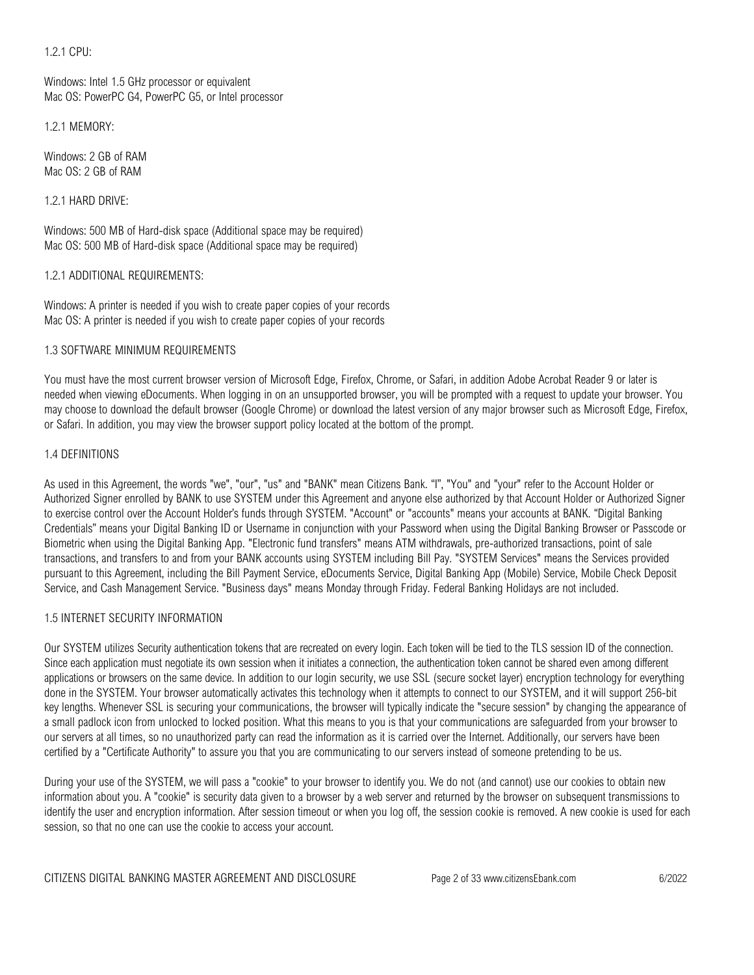1.2.1 CPU:

Windows: Intel 1.5 GHz processor or equivalent Mac OS: PowerPC G4, PowerPC G5, or Intel processor

1.2.1 MEMORY:

Windows: 2 GB of RAM Mac OS: 2 GB of RAM

1.2.1 HARD DRIVE:

Windows: 500 MB of Hard-disk space (Additional space may be required) Mac OS: 500 MB of Hard-disk space (Additional space may be required)

1.2.1 ADDITIONAL REQUIREMENTS:

Windows: A printer is needed if you wish to create paper copies of your records Mac OS: A printer is needed if you wish to create paper copies of your records

## 1.3 SOFTWARE MINIMUM REQUIREMENTS

You must have the most current browser version of Microsoft Edge, Firefox, Chrome, or Safari, in addition Adobe Acrobat Reader 9 or later is needed when viewing eDocuments. When logging in on an unsupported browser, you will be prompted with a request to update your browser. You may choose to download the default browser (Google Chrome) or download the latest version of any major browser such as Microsoft Edge, Firefox, or Safari. In addition, you may view the browser support policy located at the bottom of the prompt.

## 1.4 DEFINITIONS

As used in this Agreement, the words "we", "our", "us" and "BANK" mean Citizens Bank. "I", "You" and "your" refer to the Account Holder or Authorized Signer enrolled by BANK to use SYSTEM under this Agreement and anyone else authorized by that Account Holder or Authorized Signer to exercise control over the Account Holder's funds through SYSTEM. "Account" or "accounts" means your accounts at BANK. "Digital Banking Credentials" means your Digital Banking ID or Username in conjunction with your Password when using the Digital Banking Browser or Passcode or Biometric when using the Digital Banking App. "Electronic fund transfers" means ATM withdrawals, pre-authorized transactions, point of sale transactions, and transfers to and from your BANK accounts using SYSTEM including Bill Pay. "SYSTEM Services" means the Services provided pursuant to this Agreement, including the Bill Payment Service, eDocuments Service, Digital Banking App (Mobile) Service, Mobile Check Deposit Service, and Cash Management Service. "Business days" means Monday through Friday. Federal Banking Holidays are not included.

# 1.5 INTERNET SECURITY INFORMATION

Our SYSTEM utilizes Security authentication tokens that are recreated on every login. Each token will be tied to the TLS session ID of the connection. Since each application must negotiate its own session when it initiates a connection, the authentication token cannot be shared even among different applications or browsers on the same device. In addition to our login security, we use SSL (secure socket layer) encryption technology for everything done in the SYSTEM. Your browser automatically activates this technology when it attempts to connect to our SYSTEM, and it will support 256-bit key lengths. Whenever SSL is securing your communications, the browser will typically indicate the "secure session" by changing the appearance of a small padlock icon from unlocked to locked position. What this means to you is that your communications are safeguarded from your browser to our servers at all times, so no unauthorized party can read the information as it is carried over the Internet. Additionally, our servers have been certified by a "Certificate Authority" to assure you that you are communicating to our servers instead of someone pretending to be us.

During your use of the SYSTEM, we will pass a "cookie" to your browser to identify you. We do not (and cannot) use our cookies to obtain new information about you. A "cookie" is security data given to a browser by a web server and returned by the browser on subsequent transmissions to identify the user and encryption information. After session timeout or when you log off, the session cookie is removed. A new cookie is used for each session, so that no one can use the cookie to access your account.

CITIZENS DIGITAL BANKING MASTER AGREEMENT AND DISCLOSURE Page 2 of 33 www.citizensEbank.com 6/2022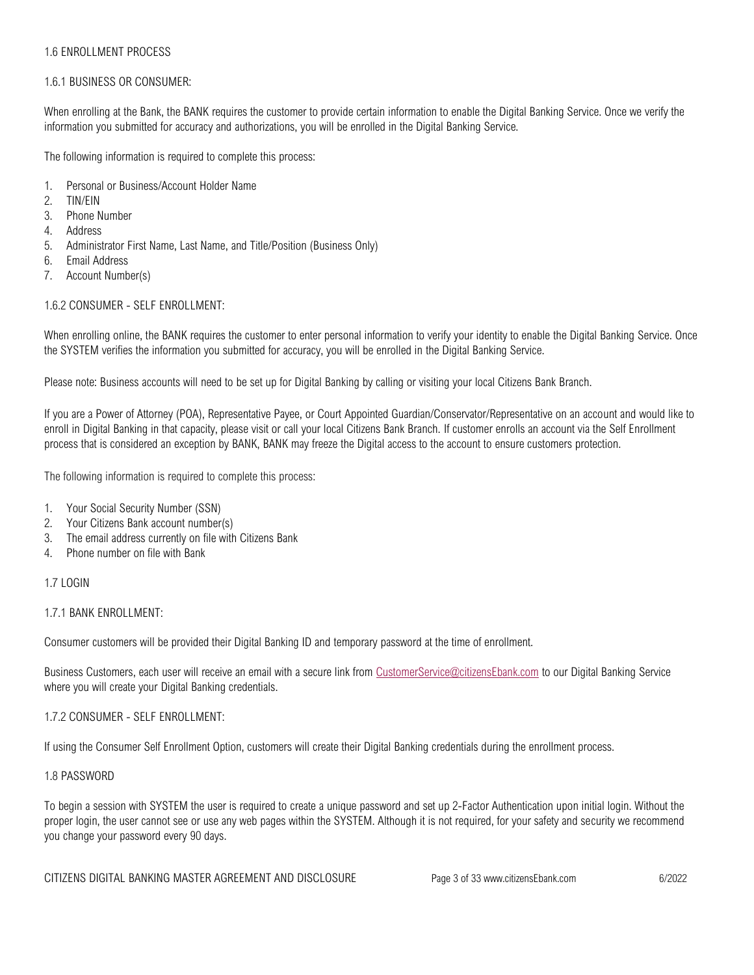### 1.6 ENROLLMENT PROCESS

### 1.6.1 BUSINESS OR CONSUMER:

When enrolling at the Bank, the BANK requires the customer to provide certain information to enable the Digital Banking Service. Once we verify the information you submitted for accuracy and authorizations, you will be enrolled in the Digital Banking Service.

The following information is required to complete this process:

- 1. Personal or Business/Account Holder Name
- 2. TIN/EIN
- 3. Phone Number
- 4. Address
- 5. Administrator First Name, Last Name, and Title/Position (Business Only)
- 6. Email Address
- 7. Account Number(s)

## 1.6.2 CONSUMER - SELF ENROLLMENT:

When enrolling online, the BANK requires the customer to enter personal information to verify your identity to enable the Digital Banking Service. Once the SYSTEM verifies the information you submitted for accuracy, you will be enrolled in the Digital Banking Service.

Please note: Business accounts will need to be set up for Digital Banking by calling or visiting your local Citizens Bank Branch.

If you are a Power of Attorney (POA), Representative Payee, or Court Appointed Guardian/Conservator/Representative on an account and would like to enroll in Digital Banking in that capacity, please visit or call your local Citizens Bank Branch. If customer enrolls an account via the Self Enrollment process that is considered an exception by BANK, BANK may freeze the Digital access to the account to ensure customers protection.

The following information is required to complete this process:

- 1. Your Social Security Number (SSN)
- 2. Your Citizens Bank account number(s)
- 3. The email address currently on file with Citizens Bank
- 4. Phone number on file with Bank

### 1.7 LOGIN

1.7.1 BANK ENROLLMENT:

Consumer customers will be provided their Digital Banking ID and temporary password at the time of enrollment.

Business Customers, each user will receive an email with a secure link from [CustomerService@citizensEbank.com](mailto:CustomerService@citizensEbank.com) to our Digital Banking Service where you will create your Digital Banking credentials.

### 1.7.2 CONSUMER - SELF ENROLLMENT:

If using the Consumer Self Enrollment Option, customers will create their Digital Banking credentials during the enrollment process.

### 1.8 PASSWORD

To begin a session with SYSTEM the user is required to create a unique password and set up 2-Factor Authentication upon initial login. Without the proper login, the user cannot see or use any web pages within the SYSTEM. Although it is not required, for your safety and security we recommend you change your password every 90 days.

CITIZENS DIGITAL BANKING MASTER AGREEMENT AND DISCLOSURE Page 3 of 33 www.citizensEbank.com 6/2022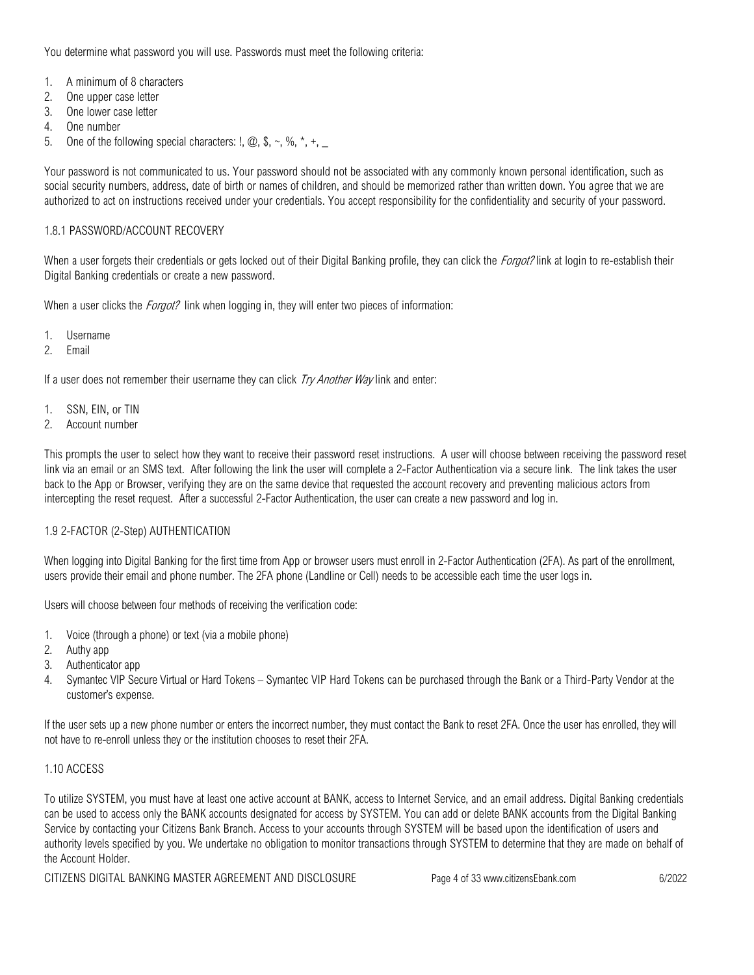You determine what password you will use. Passwords must meet the following criteria:

- 1. A minimum of 8 characters
- 2. One upper case letter
- 3. One lower case letter
- 4. One number
- 5. One of the following special characters:  $!, \omega, \hat{\theta}, \hat{\theta}, \hat{\theta}, \hat{\theta}, \hat{\theta}, \hat{\theta}$

Your password is not communicated to us. Your password should not be associated with any commonly known personal identification, such as social security numbers, address, date of birth or names of children, and should be memorized rather than written down. You agree that we are authorized to act on instructions received under your credentials. You accept responsibility for the confidentiality and security of your password.

### 1.8.1 PASSWORD/ACCOUNT RECOVERY

When a user forgets their credentials or gets locked out of their Digital Banking profile, they can click the *Forgot?* link at login to re-establish their Digital Banking credentials or create a new password.

When a user clicks the *Forgot?* link when logging in, they will enter two pieces of information:

- 1. Username
- 2. Email

If a user does not remember their username they can click  $Try$  Another Way link and enter:

- 1. SSN, EIN, or TIN
- 2. Account number

This prompts the user to select how they want to receive their password reset instructions. A user will choose between receiving the password reset link via an email or an SMS text. After following the link the user will complete a 2-Factor Authentication via a secure link. The link takes the user back to the App or Browser, verifying they are on the same device that requested the account recovery and preventing malicious actors from intercepting the reset request. After a successful 2-Factor Authentication, the user can create a new password and log in.

### 1.9 2-FACTOR (2-Step) AUTHENTICATION

When logging into Digital Banking for the first time from App or browser users must enroll in 2-Factor Authentication (2FA). As part of the enrollment, users provide their email and phone number. The 2FA phone (Landline or Cell) needs to be accessible each time the user logs in.

Users will choose between four methods of receiving the verification code:

- 1. Voice (through a phone) or text (via a mobile phone)
- 2. Authy app
- 3. Authenticator app
- 4. Symantec VIP Secure Virtual or Hard Tokens Symantec VIP Hard Tokens can be purchased through the Bank or a Third-Party Vendor at the customer's expense.

If the user sets up a new phone number or enters the incorrect number, they must contact the Bank to reset 2FA. Once the user has enrolled, they will not have to re-enroll unless they or the institution chooses to reset their 2FA.

### 1.10 ACCESS

To utilize SYSTEM, you must have at least one active account at BANK, access to Internet Service, and an email address. Digital Banking credentials can be used to access only the BANK accounts designated for access by SYSTEM. You can add or delete BANK accounts from the Digital Banking Service by contacting your Citizens Bank Branch. Access to your accounts through SYSTEM will be based upon the identification of users and authority levels specified by you. We undertake no obligation to monitor transactions through SYSTEM to determine that they are made on behalf of the Account Holder.

CITIZENS DIGITAL BANKING MASTER AGREEMENT AND DISCLOSURE Page 4 of 33 www.citizensEbank.com 6/2022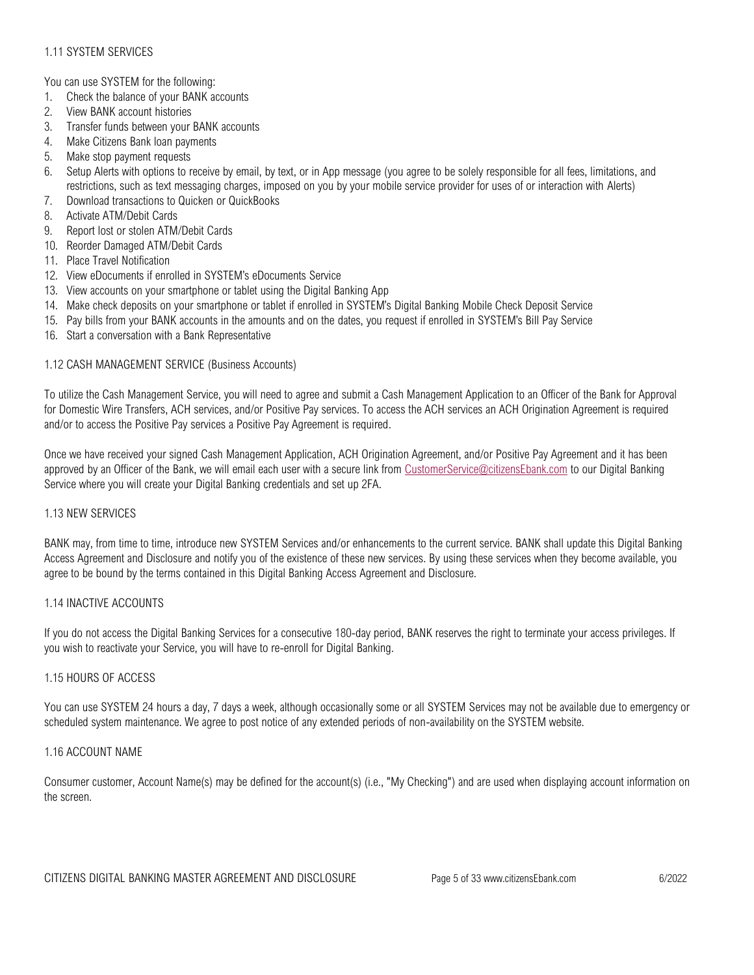# 1.11 SYSTEM SERVICES

You can use SYSTEM for the following:

- 1. Check the balance of your BANK accounts
- 2. View BANK account histories
- 3. Transfer funds between your BANK accounts
- 4. Make Citizens Bank loan payments
- 5. Make stop payment requests
- 6. Setup Alerts with options to receive by email, by text, or in App message (you agree to be solely responsible for all fees, limitations, and restrictions, such as text messaging charges, imposed on you by your mobile service provider for uses of or interaction with Alerts)
- 7. Download transactions to Quicken or QuickBooks
- 8. Activate ATM/Debit Cards
- 9. Report lost or stolen ATM/Debit Cards
- 10. Reorder Damaged ATM/Debit Cards
- 11. Place Travel Notification
- 12. View eDocuments if enrolled in SYSTEM's eDocuments Service
- 13. View accounts on your smartphone or tablet using the Digital Banking App
- 14. Make check deposits on your smartphone or tablet if enrolled in SYSTEM's Digital Banking Mobile Check Deposit Service
- 15. Pay bills from your BANK accounts in the amounts and on the dates, you request if enrolled in SYSTEM's Bill Pay Service
- 16. Start a conversation with a Bank Representative

### 1.12 CASH MANAGEMENT SERVICE (Business Accounts)

To utilize the Cash Management Service, you will need to agree and submit a Cash Management Application to an Officer of the Bank for Approval for Domestic Wire Transfers, ACH services, and/or Positive Pay services. To access the ACH services an ACH Origination Agreement is required and/or to access the Positive Pay services a Positive Pay Agreement is required.

Once we have received your signed Cash Management Application, ACH Origination Agreement, and/or Positive Pay Agreement and it has been approved by an Officer of the Bank, we will email each user with a secure link from [CustomerService@citizensEbank.com](mailto:CustomerService@citizensEbank.com) to our Digital Banking Service where you will create your Digital Banking credentials and set up 2FA.

### 1.13 NEW SERVICES

BANK may, from time to time, introduce new SYSTEM Services and/or enhancements to the current service. BANK shall update this Digital Banking Access Agreement and Disclosure and notify you of the existence of these new services. By using these services when they become available, you agree to be bound by the terms contained in this Digital Banking Access Agreement and Disclosure.

## 1.14 INACTIVE ACCOUNTS

If you do not access the Digital Banking Services for a consecutive 180-day period, BANK reserves the right to terminate your access privileges. If you wish to reactivate your Service, you will have to re-enroll for Digital Banking.

### 1.15 HOURS OF ACCESS

You can use SYSTEM 24 hours a day, 7 days a week, although occasionally some or all SYSTEM Services may not be available due to emergency or scheduled system maintenance. We agree to post notice of any extended periods of non-availability on the SYSTEM website.

### 1.16 ACCOUNT NAME

Consumer customer, Account Name(s) may be defined for the account(s) (i.e., "My Checking") and are used when displaying account information on the screen.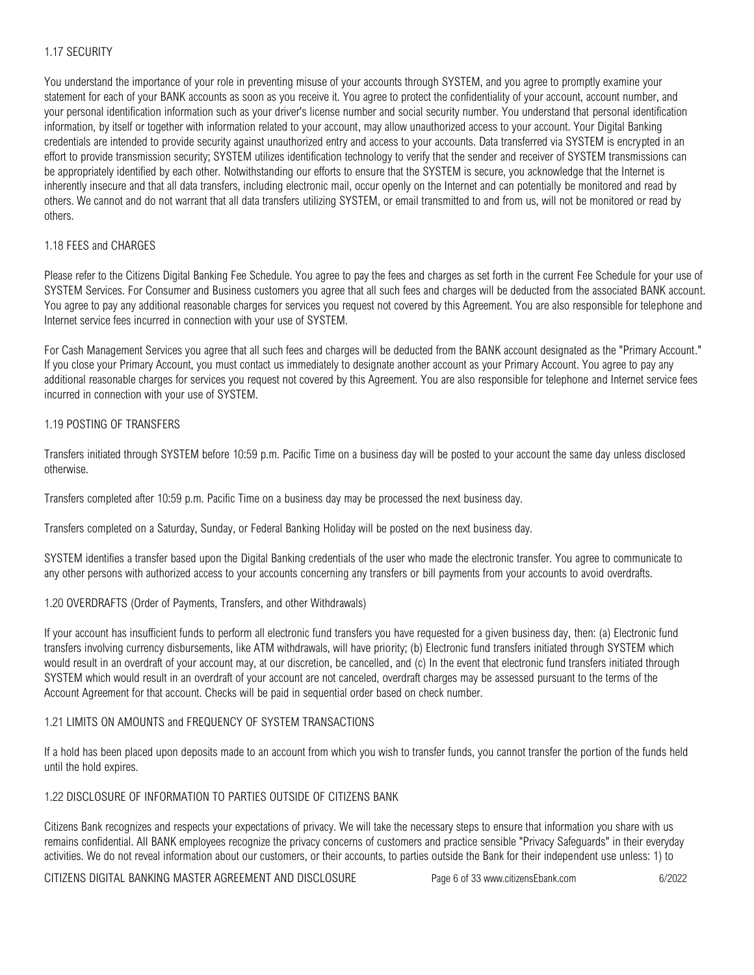# 1.17 SECURITY

You understand the importance of your role in preventing misuse of your accounts through SYSTEM, and you agree to promptly examine your statement for each of your BANK accounts as soon as you receive it. You agree to protect the confidentiality of your account, account number, and your personal identification information such as your driver's license number and social security number. You understand that personal identification information, by itself or together with information related to your account, may allow unauthorized access to your account. Your Digital Banking credentials are intended to provide security against unauthorized entry and access to your accounts. Data transferred via SYSTEM is encrypted in an effort to provide transmission security; SYSTEM utilizes identification technology to verify that the sender and receiver of SYSTEM transmissions can be appropriately identified by each other. Notwithstanding our efforts to ensure that the SYSTEM is secure, you acknowledge that the Internet is inherently insecure and that all data transfers, including electronic mail, occur openly on the Internet and can potentially be monitored and read by others. We cannot and do not warrant that all data transfers utilizing SYSTEM, or email transmitted to and from us, will not be monitored or read by others.

## 1.18 FEES and CHARGES

Please refer to the Citizens Digital Banking Fee Schedule. You agree to pay the fees and charges as set forth in the current Fee Schedule for your use of SYSTEM Services. For Consumer and Business customers you agree that all such fees and charges will be deducted from the associated BANK account. You agree to pay any additional reasonable charges for services you request not covered by this Agreement. You are also responsible for telephone and Internet service fees incurred in connection with your use of SYSTEM.

For Cash Management Services you agree that all such fees and charges will be deducted from the BANK account designated as the "Primary Account." If you close your Primary Account, you must contact us immediately to designate another account as your Primary Account. You agree to pay any additional reasonable charges for services you request not covered by this Agreement. You are also responsible for telephone and Internet service fees incurred in connection with your use of SYSTEM.

## 1.19 POSTING OF TRANSFERS

Transfers initiated through SYSTEM before 10:59 p.m. Pacific Time on a business day will be posted to your account the same day unless disclosed otherwise.

Transfers completed after 10:59 p.m. Pacific Time on a business day may be processed the next business day.

Transfers completed on a Saturday, Sunday, or Federal Banking Holiday will be posted on the next business day.

SYSTEM identifies a transfer based upon the Digital Banking credentials of the user who made the electronic transfer. You agree to communicate to any other persons with authorized access to your accounts concerning any transfers or bill payments from your accounts to avoid overdrafts.

# 1.20 OVERDRAFTS (Order of Payments, Transfers, and other Withdrawals)

If your account has insufficient funds to perform all electronic fund transfers you have requested for a given business day, then: (a) Electronic fund transfers involving currency disbursements, like ATM withdrawals, will have priority; (b) Electronic fund transfers initiated through SYSTEM which would result in an overdraft of your account may, at our discretion, be cancelled, and (c) In the event that electronic fund transfers initiated through SYSTEM which would result in an overdraft of your account are not canceled, overdraft charges may be assessed pursuant to the terms of the Account Agreement for that account. Checks will be paid in sequential order based on check number.

### 1.21 LIMITS ON AMOUNTS and FREQUENCY OF SYSTEM TRANSACTIONS

If a hold has been placed upon deposits made to an account from which you wish to transfer funds, you cannot transfer the portion of the funds held until the hold expires.

### 1.22 DISCLOSURE OF INFORMATION TO PARTIES OUTSIDE OF CITIZENS BANK

Citizens Bank recognizes and respects your expectations of privacy. We will take the necessary steps to ensure that information you share with us remains confidential. All BANK employees recognize the privacy concerns of customers and practice sensible "Privacy Safeguards" in their everyday activities. We do not reveal information about our customers, or their accounts, to parties outside the Bank for their independent use unless: 1) to

CITIZENS DIGITAL BANKING MASTER AGREEMENT AND DISCLOSURE Page 6 of 33 www.citizensEbank.com 6/2022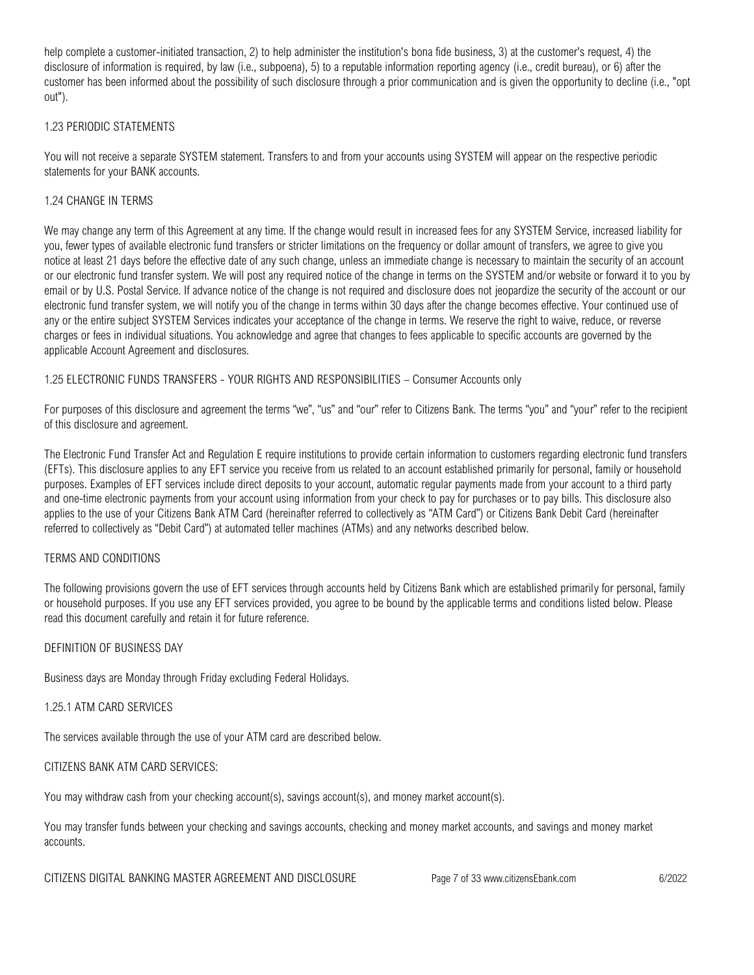help complete a customer-initiated transaction, 2) to help administer the institution's bona fide business, 3) at the customer's request, 4) the disclosure of information is required, by law (i.e., subpoena), 5) to a reputable information reporting agency (i.e., credit bureau), or 6) after the customer has been informed about the possibility of such disclosure through a prior communication and is given the opportunity to decline (i.e., "opt out").

### 1.23 PERIODIC STATEMENTS

You will not receive a separate SYSTEM statement. Transfers to and from your accounts using SYSTEM will appear on the respective periodic statements for your BANK accounts.

## 1.24 CHANGE IN TERMS

We may change any term of this Agreement at any time. If the change would result in increased fees for any SYSTEM Service, increased liability for you, fewer types of available electronic fund transfers or stricter limitations on the frequency or dollar amount of transfers, we agree to give you notice at least 21 days before the effective date of any such change, unless an immediate change is necessary to maintain the security of an account or our electronic fund transfer system. We will post any required notice of the change in terms on the SYSTEM and/or website or forward it to you by email or by U.S. Postal Service. If advance notice of the change is not required and disclosure does not jeopardize the security of the account or our electronic fund transfer system, we will notify you of the change in terms within 30 days after the change becomes effective. Your continued use of any or the entire subject SYSTEM Services indicates your acceptance of the change in terms. We reserve the right to waive, reduce, or reverse charges or fees in individual situations. You acknowledge and agree that changes to fees applicable to specific accounts are governed by the applicable Account Agreement and disclosures.

1.25 ELECTRONIC FUNDS TRANSFERS - YOUR RIGHTS AND RESPONSIBILITIES – Consumer Accounts only

For purposes of this disclosure and agreement the terms "we", "us" and "our" refer to Citizens Bank. The terms "you" and "your" refer to the recipient of this disclosure and agreement.

The Electronic Fund Transfer Act and Regulation E require institutions to provide certain information to customers regarding electronic fund transfers (EFTs). This disclosure applies to any EFT service you receive from us related to an account established primarily for personal, family or household purposes. Examples of EFT services include direct deposits to your account, automatic regular payments made from your account to a third party and one-time electronic payments from your account using information from your check to pay for purchases or to pay bills. This disclosure also applies to the use of your Citizens Bank ATM Card (hereinafter referred to collectively as "ATM Card") or Citizens Bank Debit Card (hereinafter referred to collectively as "Debit Card") at automated teller machines (ATMs) and any networks described below.

### TERMS AND CONDITIONS

The following provisions govern the use of EFT services through accounts held by Citizens Bank which are established primarily for personal, family or household purposes. If you use any EFT services provided, you agree to be bound by the applicable terms and conditions listed below. Please read this document carefully and retain it for future reference.

### DEFINITION OF BUSINESS DAY

Business days are Monday through Friday excluding Federal Holidays.

### 1.25.1 ATM CARD SERVICES

The services available through the use of your ATM card are described below.

### CITIZENS BANK ATM CARD SERVICES:

You may withdraw cash from your checking account(s), savings account(s), and money market account(s).

You may transfer funds between your checking and savings accounts, checking and money market accounts, and savings and money market accounts.

CITIZENS DIGITAL BANKING MASTER AGREEMENT AND DISCLOSURE Page 7 of 33 www.citizensEbank.com 6/2022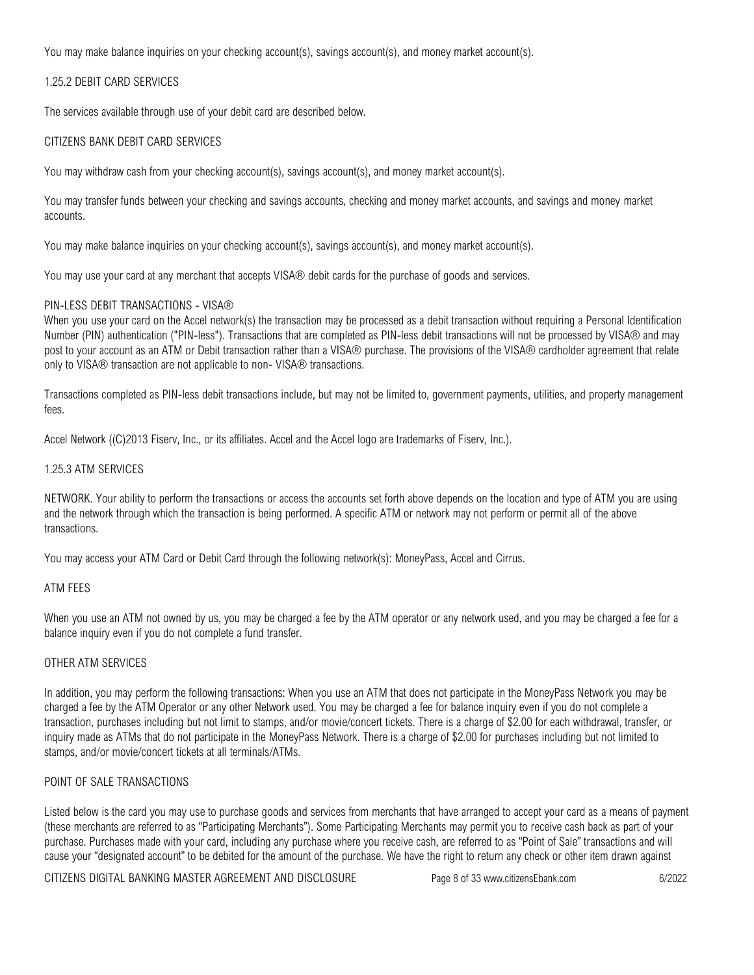You may make balance inquiries on your checking account(s), savings account(s), and money market account(s).

### 1.25.2 DEBIT CARD SERVICES

The services available through use of your debit card are described below.

## CITIZENS BANK DEBIT CARD SERVICES

You may withdraw cash from your checking account(s), savings account(s), and money market account(s).

You may transfer funds between your checking and savings accounts, checking and money market accounts, and savings and money market accounts.

You may make balance inquiries on your checking account(s), savings account(s), and money market account(s).

You may use your card at any merchant that accepts VISA® debit cards for the purchase of goods and services.

## PIN-LESS DEBIT TRANSACTIONS - VISA®

When you use your card on the Accel network(s) the transaction may be processed as a debit transaction without requiring a Personal Identification Number (PIN) authentication ("PIN-less"). Transactions that are completed as PIN-less debit transactions will not be processed by VISA® and may post to your account as an ATM or Debit transaction rather than a VISA® purchase. The provisions of the VISA® cardholder agreement that relate only to VISA® transaction are not applicable to non- VISA® transactions.

Transactions completed as PIN-less debit transactions include, but may not be limited to, government payments, utilities, and property management fees.

Accel Network ((C)2013 Fiserv, Inc., or its affiliates. Accel and the Accel logo are trademarks of Fiserv, Inc.).

### 1.25.3 ATM SERVICES

NETWORK. Your ability to perform the transactions or access the accounts set forth above depends on the location and type of ATM you are using and the network through which the transaction is being performed. A specific ATM or network may not perform or permit all of the above transactions.

You may access your ATM Card or Debit Card through the following network(s): MoneyPass, Accel and Cirrus.

### ATM FEES

When you use an ATM not owned by us, you may be charged a fee by the ATM operator or any network used, and you may be charged a fee for a balance inquiry even if you do not complete a fund transfer.

### OTHER ATM SERVICES

In addition, you may perform the following transactions: When you use an ATM that does not participate in the MoneyPass Network you may be charged a fee by the ATM Operator or any other Network used. You may be charged a fee for balance inquiry even if you do not complete a transaction, purchases including but not limit to stamps, and/or movie/concert tickets. There is a charge of \$2.00 for each withdrawal, transfer, or inquiry made as ATMs that do not participate in the MoneyPass Network. There is a charge of \$2.00 for purchases including but not limited to stamps, and/or movie/concert tickets at all terminals/ATMs.

### POINT OF SALE TRANSACTIONS

Listed below is the card you may use to purchase goods and services from merchants that have arranged to accept your card as a means of payment (these merchants are referred to as "Participating Merchants"). Some Participating Merchants may permit you to receive cash back as part of your purchase. Purchases made with your card, including any purchase where you receive cash, are referred to as "Point of Sale" transactions and will cause your "designated account" to be debited for the amount of the purchase. We have the right to return any check or other item drawn against

CITIZENS DIGITAL BANKING MASTER AGREEMENT AND DISCLOSURE Page 8 of 33 www.citizensEbank.com 6/2022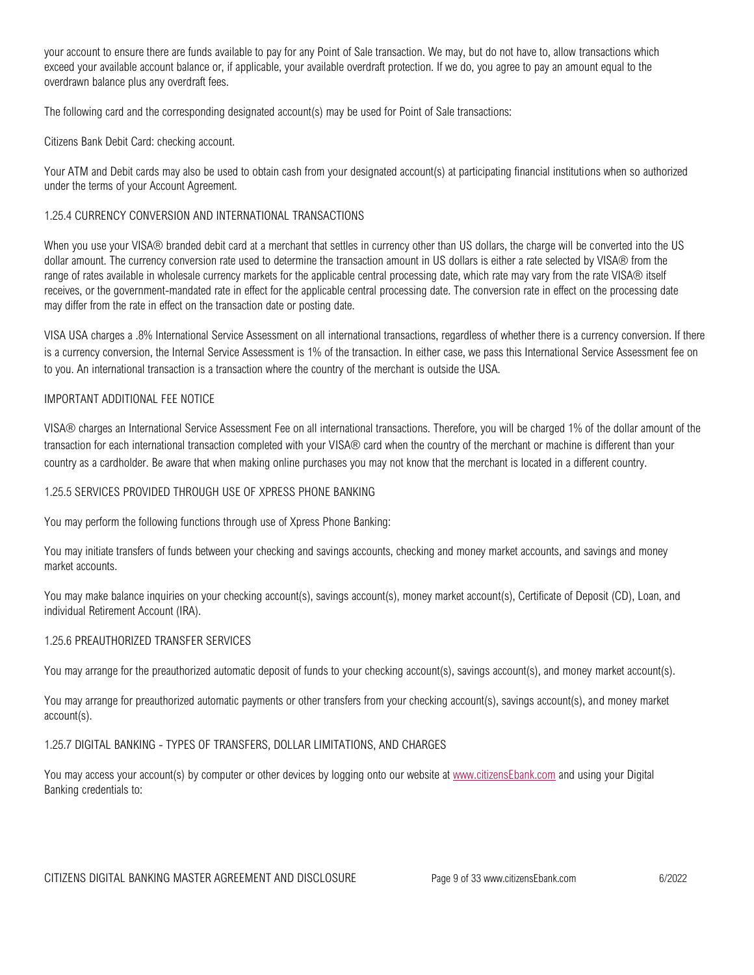your account to ensure there are funds available to pay for any Point of Sale transaction. We may, but do not have to, allow transactions which exceed your available account balance or, if applicable, your available overdraft protection. If we do, you agree to pay an amount equal to the overdrawn balance plus any overdraft fees.

The following card and the corresponding designated account(s) may be used for Point of Sale transactions:

Citizens Bank Debit Card: checking account.

Your ATM and Debit cards may also be used to obtain cash from your designated account(s) at participating financial institutions when so authorized under the terms of your Account Agreement.

## 1.25.4 CURRENCY CONVERSION AND INTERNATIONAL TRANSACTIONS

When you use your VISA® branded debit card at a merchant that settles in currency other than US dollars, the charge will be converted into the US dollar amount. The currency conversion rate used to determine the transaction amount in US dollars is either a rate selected by VISA® from the range of rates available in wholesale currency markets for the applicable central processing date, which rate may vary from the rate VISA® itself receives, or the government-mandated rate in effect for the applicable central processing date. The conversion rate in effect on the processing date may differ from the rate in effect on the transaction date or posting date.

VISA USA charges a .8% International Service Assessment on all international transactions, regardless of whether there is a currency conversion. If there is a currency conversion, the Internal Service Assessment is 1% of the transaction. In either case, we pass this International Service Assessment fee on to you. An international transaction is a transaction where the country of the merchant is outside the USA.

## IMPORTANT ADDITIONAL FEE NOTICE

VISA® charges an International Service Assessment Fee on all international transactions. Therefore, you will be charged 1% of the dollar amount of the transaction for each international transaction completed with your VISA® card when the country of the merchant or machine is different than your country as a cardholder. Be aware that when making online purchases you may not know that the merchant is located in a different country.

### 1.25.5 SERVICES PROVIDED THROUGH USE OF XPRESS PHONE BANKING

You may perform the following functions through use of Xpress Phone Banking:

You may initiate transfers of funds between your checking and savings accounts, checking and money market accounts, and savings and money market accounts.

You may make balance inquiries on your checking account(s), savings account(s), money market account(s), Certificate of Deposit (CD), Loan, and individual Retirement Account (IRA).

### 1.25.6 PREAUTHORIZED TRANSFER SERVICES

You may arrange for the preauthorized automatic deposit of funds to your checking account(s), savings account(s), and money market account(s).

You may arrange for preauthorized automatic payments or other transfers from your checking account(s), savings account(s), and money market account(s).

### 1.25.7 DIGITAL BANKING - TYPES OF TRANSFERS, DOLLAR LIMITATIONS, AND CHARGES

You may access your account(s) by computer or other devices by logging onto our website at [www.citizensEbank.com](www.citizensEbank.com%20) and using your Digital Banking credentials to: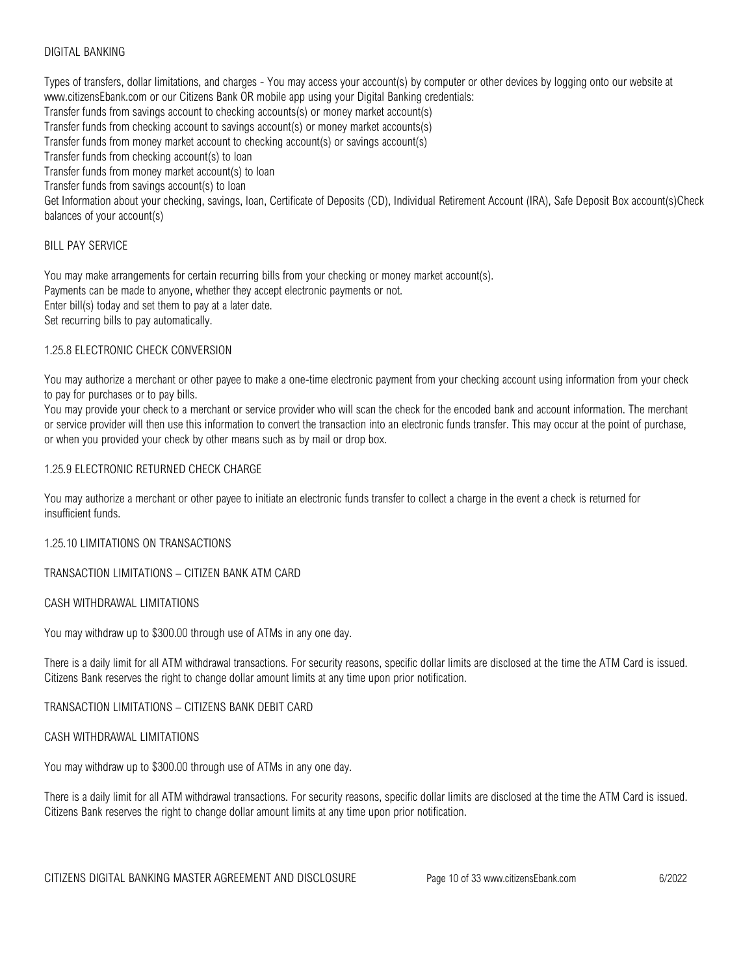## DIGITAL BANKING

Types of transfers, dollar limitations, and charges - You may access your account(s) by computer or other devices by logging onto our website at www.citizensEbank.com or our Citizens Bank OR mobile app using your Digital Banking credentials: Transfer funds from savings account to checking accounts(s) or money market account(s) Transfer funds from checking account to savings account(s) or money market accounts(s) Transfer funds from money market account to checking account(s) or savings account(s) Transfer funds from checking account(s) to loan Transfer funds from money market account(s) to loan Transfer funds from savings account(s) to loan Get Information about your checking, savings, loan, Certificate of Deposits (CD), Individual Retirement Account (IRA), Safe Deposit Box account(s)Check balances of your account(s)

### BILL PAY SERVICE

You may make arrangements for certain recurring bills from your checking or money market account(s). Payments can be made to anyone, whether they accept electronic payments or not. Enter bill(s) today and set them to pay at a later date. Set recurring bills to pay automatically.

#### 1.25.8 ELECTRONIC CHECK CONVERSION

You may authorize a merchant or other payee to make a one-time electronic payment from your checking account using information from your check to pay for purchases or to pay bills.

You may provide your check to a merchant or service provider who will scan the check for the encoded bank and account information. The merchant or service provider will then use this information to convert the transaction into an electronic funds transfer. This may occur at the point of purchase, or when you provided your check by other means such as by mail or drop box.

### 1.25.9 ELECTRONIC RETURNED CHECK CHARGE

You may authorize a merchant or other payee to initiate an electronic funds transfer to collect a charge in the event a check is returned for insufficient funds.

1.25.10 LIMITATIONS ON TRANSACTIONS

TRANSACTION LIMITATIONS – CITIZEN BANK ATM CARD

## CASH WITHDRAWAL LIMITATIONS

You may withdraw up to \$300.00 through use of ATMs in any one day.

There is a daily limit for all ATM withdrawal transactions. For security reasons, specific dollar limits are disclosed at the time the ATM Card is issued. Citizens Bank reserves the right to change dollar amount limits at any time upon prior notification.

TRANSACTION LIMITATIONS – CITIZENS BANK DEBIT CARD

CASH WITHDRAWAL LIMITATIONS

You may withdraw up to \$300.00 through use of ATMs in any one day.

There is a daily limit for all ATM withdrawal transactions. For security reasons, specific dollar limits are disclosed at the time the ATM Card is issued. Citizens Bank reserves the right to change dollar amount limits at any time upon prior notification.

CITIZENS DIGITAL BANKING MASTER AGREEMENT AND DISCLOSURE Page 10 of 33 www.citizensEbank.com 6/2022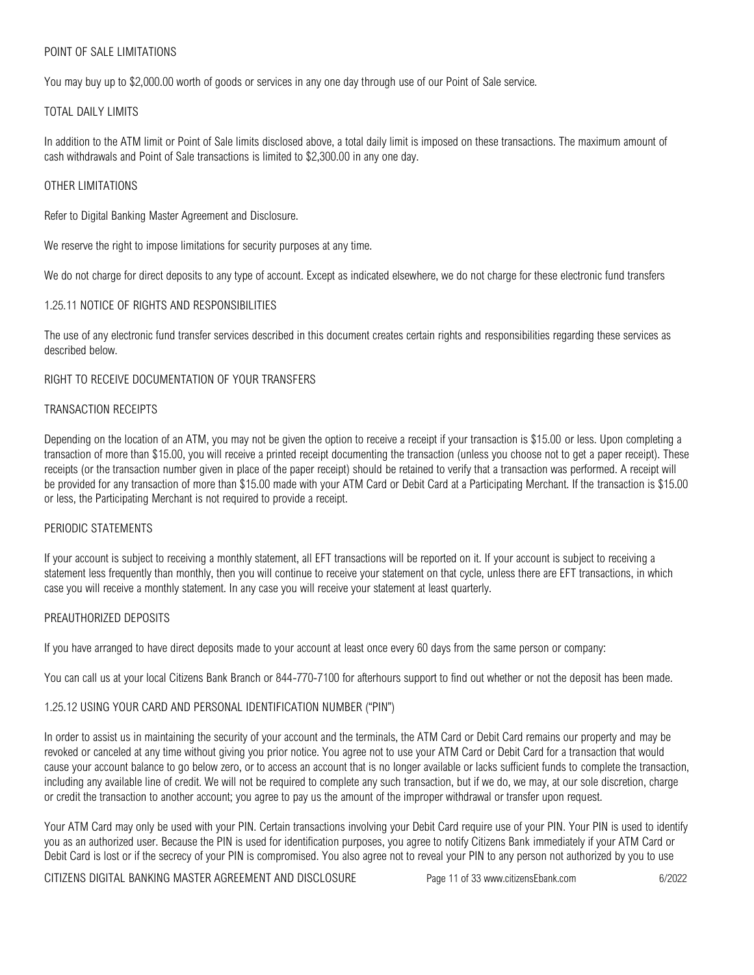## POINT OF SALE LIMITATIONS

You may buy up to \$2,000.00 worth of goods or services in any one day through use of our Point of Sale service.

### TOTAL DAILY LIMITS

In addition to the ATM limit or Point of Sale limits disclosed above, a total daily limit is imposed on these transactions. The maximum amount of cash withdrawals and Point of Sale transactions is limited to \$2,300.00 in any one day.

## OTHER LIMITATIONS

Refer to Digital Banking Master Agreement and Disclosure.

We reserve the right to impose limitations for security purposes at any time.

We do not charge for direct deposits to any type of account. Except as indicated elsewhere, we do not charge for these electronic fund transfers

## 1.25.11 NOTICE OF RIGHTS AND RESPONSIBILITIES

The use of any electronic fund transfer services described in this document creates certain rights and responsibilities regarding these services as described below.

## RIGHT TO RECEIVE DOCUMENTATION OF YOUR TRANSFERS

## TRANSACTION RECEIPTS

Depending on the location of an ATM, you may not be given the option to receive a receipt if your transaction is \$15.00 or less. Upon completing a transaction of more than \$15.00, you will receive a printed receipt documenting the transaction (unless you choose not to get a paper receipt). These receipts (or the transaction number given in place of the paper receipt) should be retained to verify that a transaction was performed. A receipt will be provided for any transaction of more than \$15.00 made with your ATM Card or Debit Card at a Participating Merchant. If the transaction is \$15.00 or less, the Participating Merchant is not required to provide a receipt.

### PERIODIC STATEMENTS

If your account is subject to receiving a monthly statement, all EFT transactions will be reported on it. If your account is subject to receiving a statement less frequently than monthly, then you will continue to receive your statement on that cycle, unless there are EFT transactions, in which case you will receive a monthly statement. In any case you will receive your statement at least quarterly.

### PREAUTHORIZED DEPOSITS

If you have arranged to have direct deposits made to your account at least once every 60 days from the same person or company:

You can call us at your local Citizens Bank Branch or 844-770-7100 for afterhours support to find out whether or not the deposit has been made.

### 1.25.12 USING YOUR CARD AND PERSONAL IDENTIFICATION NUMBER ("PIN")

In order to assist us in maintaining the security of your account and the terminals, the ATM Card or Debit Card remains our property and may be revoked or canceled at any time without giving you prior notice. You agree not to use your ATM Card or Debit Card for a transaction that would cause your account balance to go below zero, or to access an account that is no longer available or lacks sufficient funds to complete the transaction, including any available line of credit. We will not be required to complete any such transaction, but if we do, we may, at our sole discretion, charge or credit the transaction to another account; you agree to pay us the amount of the improper withdrawal or transfer upon request.

Your ATM Card may only be used with your PIN. Certain transactions involving your Debit Card require use of your PIN. Your PIN is used to identify you as an authorized user. Because the PIN is used for identification purposes, you agree to notify Citizens Bank immediately if your ATM Card or Debit Card is lost or if the secrecy of your PIN is compromised. You also agree not to reveal your PIN to any person not authorized by you to use

CITIZENS DIGITAL BANKING MASTER AGREEMENT AND DISCLOSURE Page 11 of 33 www.citizensEbank.com 6/2022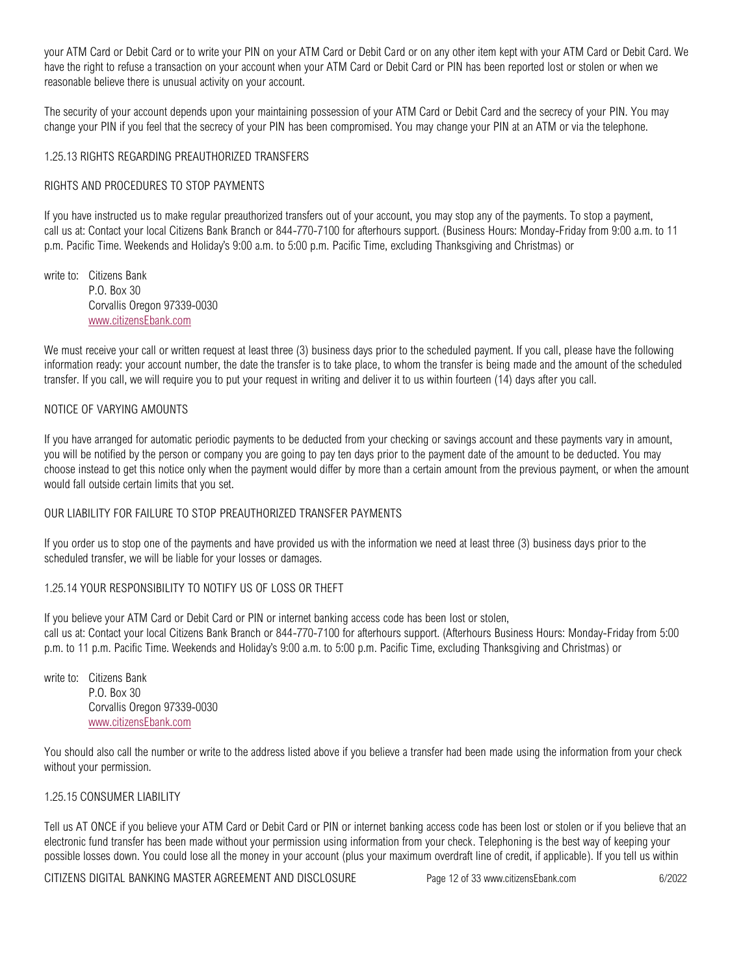your ATM Card or Debit Card or to write your PIN on your ATM Card or Debit Card or on any other item kept with your ATM Card or Debit Card. We have the right to refuse a transaction on your account when your ATM Card or Debit Card or PIN has been reported lost or stolen or when we reasonable believe there is unusual activity on your account.

The security of your account depends upon your maintaining possession of your ATM Card or Debit Card and the secrecy of your PIN. You may change your PIN if you feel that the secrecy of your PIN has been compromised. You may change your PIN at an ATM or via the telephone.

### 1.25.13 RIGHTS REGARDING PREAUTHORIZED TRANSFERS

### RIGHTS AND PROCEDURES TO STOP PAYMENTS

If you have instructed us to make regular preauthorized transfers out of your account, you may stop any of the payments. To stop a payment, call us at: Contact your local Citizens Bank Branch or 844-770-7100 for afterhours support. (Business Hours: Monday-Friday from 9:00 a.m. to 11 p.m. Pacific Time. Weekends and Holiday's 9:00 a.m. to 5:00 p.m. Pacific Time, excluding Thanksgiving and Christmas) or

write to: Citizens Bank P.O. Box 30 Corvallis Oregon 97339-0030 [www.citizensEbank.com](http://www.citizensebank.com/)

We must receive your call or written request at least three (3) business days prior to the scheduled payment. If you call, please have the following information ready: your account number, the date the transfer is to take place, to whom the transfer is being made and the amount of the scheduled transfer. If you call, we will require you to put your request in writing and deliver it to us within fourteen (14) days after you call.

## NOTICE OF VARYING AMOUNTS

If you have arranged for automatic periodic payments to be deducted from your checking or savings account and these payments vary in amount, you will be notified by the person or company you are going to pay ten days prior to the payment date of the amount to be deducted. You may choose instead to get this notice only when the payment would differ by more than a certain amount from the previous payment, or when the amount would fall outside certain limits that you set.

### OUR LIABILITY FOR FAILURE TO STOP PREAUTHORIZED TRANSFER PAYMENTS

If you order us to stop one of the payments and have provided us with the information we need at least three (3) business days prior to the scheduled transfer, we will be liable for your losses or damages.

### 1.25.14 YOUR RESPONSIBILITY TO NOTIFY US OF LOSS OR THEFT

If you believe your ATM Card or Debit Card or PIN or internet banking access code has been lost or stolen, call us at: Contact your local Citizens Bank Branch or 844-770-7100 for afterhours support. (Afterhours Business Hours: Monday-Friday from 5:00 p.m. to 11 p.m. Pacific Time. Weekends and Holiday's 9:00 a.m. to 5:00 p.m. Pacific Time, excluding Thanksgiving and Christmas) or

write to: Citizens Bank P.O. Box 30 Corvallis Oregon 97339-0030 [www.citizensEbank.com](http://www.citizensebank.com/)

You should also call the number or write to the address listed above if you believe a transfer had been made using the information from your check without your permission.

### 1.25.15 CONSUMER LIABILITY

Tell us AT ONCE if you believe your ATM Card or Debit Card or PIN or internet banking access code has been lost or stolen or if you believe that an electronic fund transfer has been made without your permission using information from your check. Telephoning is the best way of keeping your possible losses down. You could lose all the money in your account (plus your maximum overdraft line of credit, if applicable). If you tell us within

CITIZENS DIGITAL BANKING MASTER AGREEMENT AND DISCLOSURE Page 12 of 33 www.citizensEbank.com 6/2022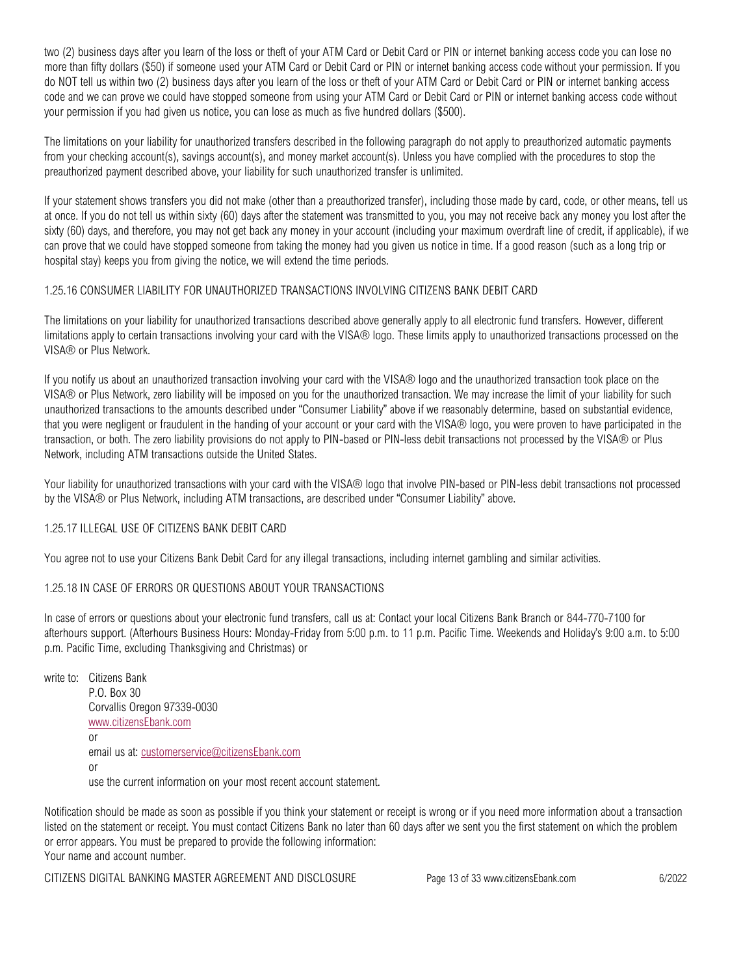two (2) business days after you learn of the loss or theft of your ATM Card or Debit Card or PIN or internet banking access code you can lose no more than fifty dollars (\$50) if someone used your ATM Card or Debit Card or PIN or internet banking access code without your permission. If you do NOT tell us within two (2) business days after you learn of the loss or theft of your ATM Card or Debit Card or PIN or internet banking access code and we can prove we could have stopped someone from using your ATM Card or Debit Card or PIN or internet banking access code without your permission if you had given us notice, you can lose as much as five hundred dollars (\$500).

The limitations on your liability for unauthorized transfers described in the following paragraph do not apply to preauthorized automatic payments from your checking account(s), savings account(s), and money market account(s). Unless you have complied with the procedures to stop the preauthorized payment described above, your liability for such unauthorized transfer is unlimited.

If your statement shows transfers you did not make (other than a preauthorized transfer), including those made by card, code, or other means, tell us at once. If you do not tell us within sixty (60) days after the statement was transmitted to you, you may not receive back any money you lost after the sixty (60) days, and therefore, you may not get back any money in your account (including your maximum overdraft line of credit, if applicable), if we can prove that we could have stopped someone from taking the money had you given us notice in time. If a good reason (such as a long trip or hospital stay) keeps you from giving the notice, we will extend the time periods.

## 1.25.16 CONSUMER LIABILITY FOR UNAUTHORIZED TRANSACTIONS INVOLVING CITIZENS BANK DEBIT CARD

The limitations on your liability for unauthorized transactions described above generally apply to all electronic fund transfers. However, different limitations apply to certain transactions involving your card with the VISA® logo. These limits apply to unauthorized transactions processed on the VISA® or Plus Network.

If you notify us about an unauthorized transaction involving your card with the VISA® logo and the unauthorized transaction took place on the VISA® or Plus Network, zero liability will be imposed on you for the unauthorized transaction. We may increase the limit of your liability for such unauthorized transactions to the amounts described under "Consumer Liability" above if we reasonably determine, based on substantial evidence, that you were negligent or fraudulent in the handing of your account or your card with the VISA® logo, you were proven to have participated in the transaction, or both. The zero liability provisions do not apply to PIN-based or PIN-less debit transactions not processed by the VISA® or Plus Network, including ATM transactions outside the United States.

Your liability for unauthorized transactions with your card with the VISA® logo that involve PIN-based or PIN-less debit transactions not processed by the VISA® or Plus Network, including ATM transactions, are described under "Consumer Liability" above.

# 1.25.17 ILLEGAL USE OF CITIZENS BANK DEBIT CARD

You agree not to use your Citizens Bank Debit Card for any illegal transactions, including internet gambling and similar activities.

# 1.25.18 IN CASE OF ERRORS OR QUESTIONS ABOUT YOUR TRANSACTIONS

In case of errors or questions about your electronic fund transfers, call us at: Contact your local Citizens Bank Branch or 844-770-7100 for afterhours support. (Afterhours Business Hours: Monday-Friday from 5:00 p.m. to 11 p.m. Pacific Time. Weekends and Holiday's 9:00 a.m. to 5:00 p.m. Pacific Time, excluding Thanksgiving and Christmas) or

write to: Citizens Bank P.O. Box 30 Corvallis Oregon 97339-0030 [www.citizensEbank.com](http://www.citizensebank.com/) or email us at[: customerservice@citizensEbank.com](mailto:customerservice@citizensEbank.com) or use the current information on your most recent account statement.

Notification should be made as soon as possible if you think your statement or receipt is wrong or if you need more information about a transaction listed on the statement or receipt. You must contact Citizens Bank no later than 60 days after we sent you the first statement on which the problem or error appears. You must be prepared to provide the following information: Your name and account number.

CITIZENS DIGITAL BANKING MASTER AGREEMENT AND DISCLOSURE Page 13 of 33 www.citizensEbank.com 6/2022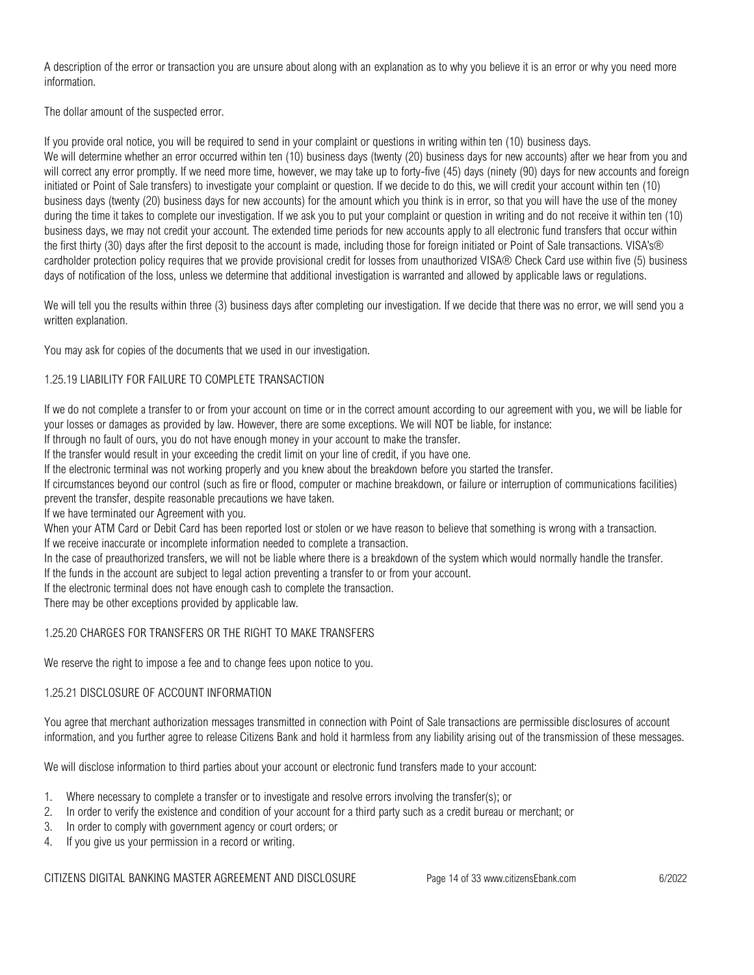A description of the error or transaction you are unsure about along with an explanation as to why you believe it is an error or why you need more information.

The dollar amount of the suspected error.

If you provide oral notice, you will be required to send in your complaint or questions in writing within ten (10) business days. We will determine whether an error occurred within ten (10) business days (twenty (20) business days for new accounts) after we hear from you and will correct any error promptly. If we need more time, however, we may take up to forty-five (45) days (ninety (90) days for new accounts and foreign initiated or Point of Sale transfers) to investigate your complaint or question. If we decide to do this, we will credit your account within ten (10) business days (twenty (20) business days for new accounts) for the amount which you think is in error, so that you will have the use of the money during the time it takes to complete our investigation. If we ask you to put your complaint or question in writing and do not receive it within ten (10) business days, we may not credit your account. The extended time periods for new accounts apply to all electronic fund transfers that occur within the first thirty (30) days after the first deposit to the account is made, including those for foreign initiated or Point of Sale transactions. VISA's® cardholder protection policy requires that we provide provisional credit for losses from unauthorized VISA® Check Card use within five (5) business days of notification of the loss, unless we determine that additional investigation is warranted and allowed by applicable laws or regulations.

We will tell you the results within three (3) business days after completing our investigation. If we decide that there was no error, we will send you a written explanation.

You may ask for copies of the documents that we used in our investigation.

# 1.25.19 LIABILITY FOR FAILURE TO COMPLETE TRANSACTION

If we do not complete a transfer to or from your account on time or in the correct amount according to our agreement with you, we will be liable for your losses or damages as provided by law. However, there are some exceptions. We will NOT be liable, for instance:

If through no fault of ours, you do not have enough money in your account to make the transfer.

If the transfer would result in your exceeding the credit limit on your line of credit, if you have one.

If the electronic terminal was not working properly and you knew about the breakdown before you started the transfer.

If circumstances beyond our control (such as fire or flood, computer or machine breakdown, or failure or interruption of communications facilities) prevent the transfer, despite reasonable precautions we have taken.

If we have terminated our Agreement with you.

When your ATM Card or Debit Card has been reported lost or stolen or we have reason to believe that something is wrong with a transaction. If we receive inaccurate or incomplete information needed to complete a transaction.

In the case of preauthorized transfers, we will not be liable where there is a breakdown of the system which would normally handle the transfer.

If the funds in the account are subject to legal action preventing a transfer to or from your account.

If the electronic terminal does not have enough cash to complete the transaction.

There may be other exceptions provided by applicable law.

# 1.25.20 CHARGES FOR TRANSFERS OR THE RIGHT TO MAKE TRANSFERS

We reserve the right to impose a fee and to change fees upon notice to you.

# 1.25.21 DISCLOSURE OF ACCOUNT INFORMATION

You agree that merchant authorization messages transmitted in connection with Point of Sale transactions are permissible disclosures of account information, and you further agree to release Citizens Bank and hold it harmless from any liability arising out of the transmission of these messages.

We will disclose information to third parties about your account or electronic fund transfers made to your account:

- 1. Where necessary to complete a transfer or to investigate and resolve errors involving the transfer(s); or
- 2. In order to verify the existence and condition of your account for a third party such as a credit bureau or merchant; or
- 3. In order to comply with government agency or court orders; or
- 4. If you give us your permission in a record or writing.

CITIZENS DIGITAL BANKING MASTER AGREEMENT AND DISCLOSURE Page 14 of 33 www.citizensEbank.com 6/2022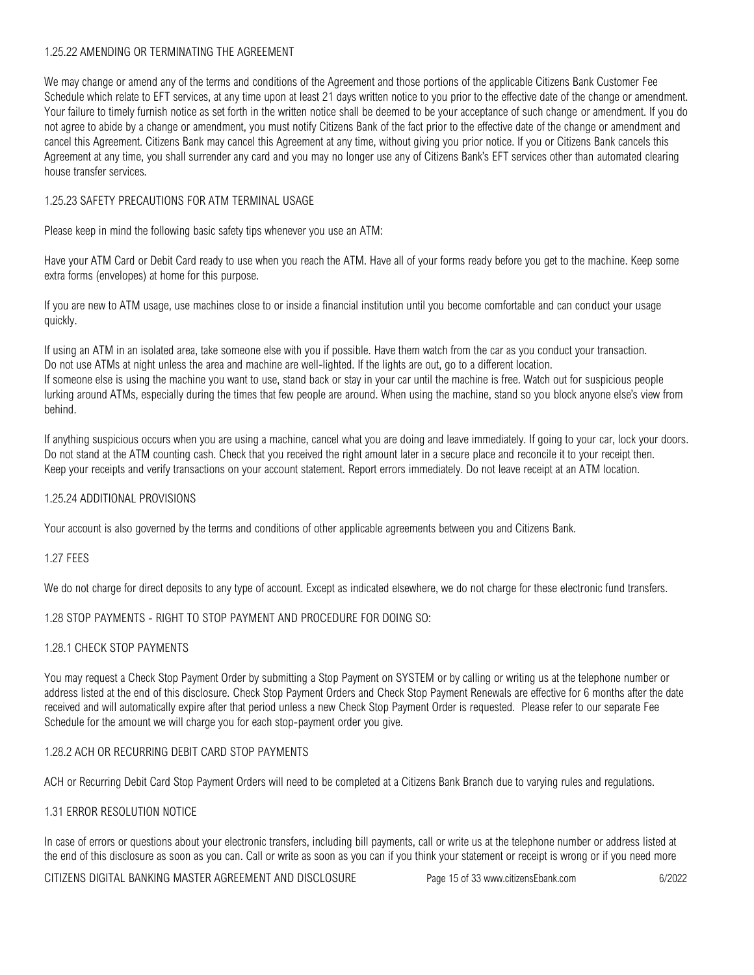# 1.25.22 AMENDING OR TERMINATING THE AGREEMENT

We may change or amend any of the terms and conditions of the Agreement and those portions of the applicable Citizens Bank Customer Fee Schedule which relate to EFT services, at any time upon at least 21 days written notice to you prior to the effective date of the change or amendment. Your failure to timely furnish notice as set forth in the written notice shall be deemed to be your acceptance of such change or amendment. If you do not agree to abide by a change or amendment, you must notify Citizens Bank of the fact prior to the effective date of the change or amendment and cancel this Agreement. Citizens Bank may cancel this Agreement at any time, without giving you prior notice. If you or Citizens Bank cancels this Agreement at any time, you shall surrender any card and you may no longer use any of Citizens Bank's EFT services other than automated clearing house transfer services.

# 1.25.23 SAFETY PRECAUTIONS FOR ATM TERMINAL USAGE

Please keep in mind the following basic safety tips whenever you use an ATM:

Have your ATM Card or Debit Card ready to use when you reach the ATM. Have all of your forms ready before you get to the machine. Keep some extra forms (envelopes) at home for this purpose.

If you are new to ATM usage, use machines close to or inside a financial institution until you become comfortable and can conduct your usage quickly.

If using an ATM in an isolated area, take someone else with you if possible. Have them watch from the car as you conduct your transaction. Do not use ATMs at night unless the area and machine are well-lighted. If the lights are out, go to a different location. If someone else is using the machine you want to use, stand back or stay in your car until the machine is free. Watch out for suspicious people lurking around ATMs, especially during the times that few people are around. When using the machine, stand so you block anyone else's view from behind.

If anything suspicious occurs when you are using a machine, cancel what you are doing and leave immediately. If going to your car, lock your doors. Do not stand at the ATM counting cash. Check that you received the right amount later in a secure place and reconcile it to your receipt then. Keep your receipts and verify transactions on your account statement. Report errors immediately. Do not leave receipt at an ATM location.

### 1.25.24 ADDITIONAL PROVISIONS

Your account is also governed by the terms and conditions of other applicable agreements between you and Citizens Bank.

### 1.27 FEES

We do not charge for direct deposits to any type of account. Except as indicated elsewhere, we do not charge for these electronic fund transfers.

### 1.28 STOP PAYMENTS - RIGHT TO STOP PAYMENT AND PROCEDURE FOR DOING SO:

### 1.28.1 CHECK STOP PAYMENTS

You may request a Check Stop Payment Order by submitting a Stop Payment on SYSTEM or by calling or writing us at the telephone number or address listed at the end of this disclosure. Check Stop Payment Orders and Check Stop Payment Renewals are effective for 6 months after the date received and will automatically expire after that period unless a new Check Stop Payment Order is requested. Please refer to our separate Fee Schedule for the amount we will charge you for each stop-payment order you give.

### 1.28.2 ACH OR RECURRING DEBIT CARD STOP PAYMENTS

ACH or Recurring Debit Card Stop Payment Orders will need to be completed at a Citizens Bank Branch due to varying rules and regulations.

### 1.31 ERROR RESOLUTION NOTICE

In case of errors or questions about your electronic transfers, including bill payments, call or write us at the telephone number or address listed at the end of this disclosure as soon as you can. Call or write as soon as you can if you think your statement or receipt is wrong or if you need more

CITIZENS DIGITAL BANKING MASTER AGREEMENT AND DISCLOSURE Page 15 of 33 www.citizensEbank.com 6/2022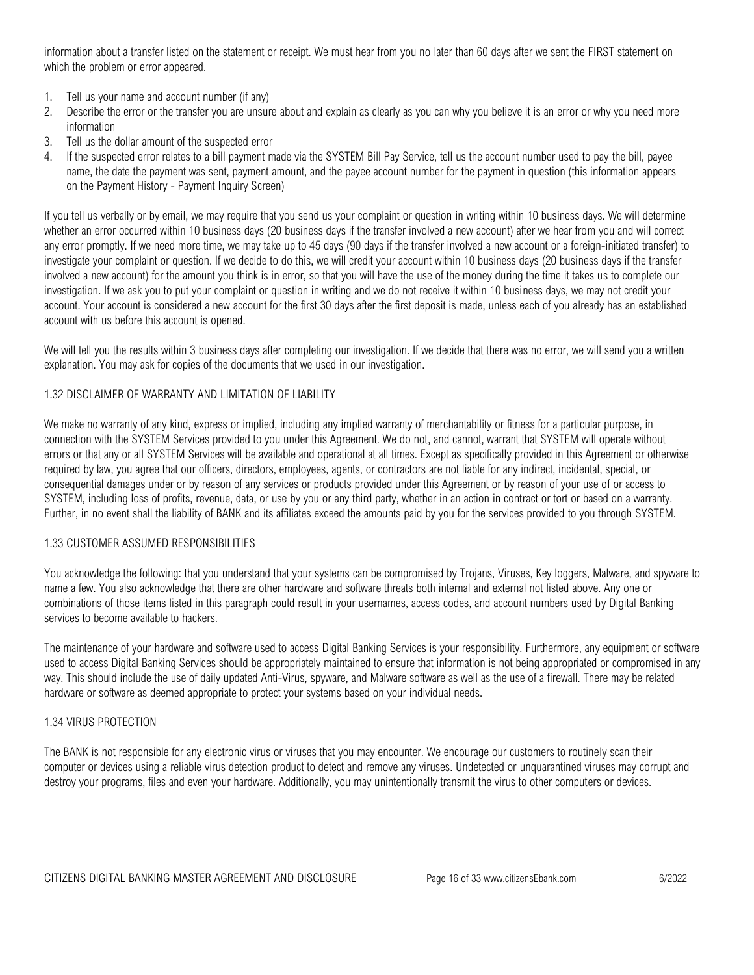information about a transfer listed on the statement or receipt. We must hear from you no later than 60 days after we sent the FIRST statement on which the problem or error appeared.

- 1. Tell us your name and account number (if any)
- 2. Describe the error or the transfer you are unsure about and explain as clearly as you can why you believe it is an error or why you need more information
- 3. Tell us the dollar amount of the suspected error
- 4. If the suspected error relates to a bill payment made via the SYSTEM Bill Pay Service, tell us the account number used to pay the bill, payee name, the date the payment was sent, payment amount, and the payee account number for the payment in question (this information appears on the Payment History - Payment Inquiry Screen)

If you tell us verbally or by email, we may require that you send us your complaint or question in writing within 10 business days. We will determine whether an error occurred within 10 business days (20 business days if the transfer involved a new account) after we hear from you and will correct any error promptly. If we need more time, we may take up to 45 days (90 days if the transfer involved a new account or a foreign-initiated transfer) to investigate your complaint or question. If we decide to do this, we will credit your account within 10 business days (20 business days if the transfer involved a new account) for the amount you think is in error, so that you will have the use of the money during the time it takes us to complete our investigation. If we ask you to put your complaint or question in writing and we do not receive it within 10 business days, we may not credit your account. Your account is considered a new account for the first 30 days after the first deposit is made, unless each of you already has an established account with us before this account is opened.

We will tell you the results within 3 business days after completing our investigation. If we decide that there was no error, we will send you a written explanation. You may ask for copies of the documents that we used in our investigation.

## 1.32 DISCLAIMER OF WARRANTY AND LIMITATION OF LIABILITY

We make no warranty of any kind, express or implied, including any implied warranty of merchantability or fitness for a particular purpose, in connection with the SYSTEM Services provided to you under this Agreement. We do not, and cannot, warrant that SYSTEM will operate without errors or that any or all SYSTEM Services will be available and operational at all times. Except as specifically provided in this Agreement or otherwise required by law, you agree that our officers, directors, employees, agents, or contractors are not liable for any indirect, incidental, special, or consequential damages under or by reason of any services or products provided under this Agreement or by reason of your use of or access to SYSTEM, including loss of profits, revenue, data, or use by you or any third party, whether in an action in contract or tort or based on a warranty. Further, in no event shall the liability of BANK and its affiliates exceed the amounts paid by you for the services provided to you through SYSTEM.

### 1.33 CUSTOMER ASSUMED RESPONSIBILITIES

You acknowledge the following: that you understand that your systems can be compromised by Trojans, Viruses, Key loggers, Malware, and spyware to name a few. You also acknowledge that there are other hardware and software threats both internal and external not listed above. Any one or combinations of those items listed in this paragraph could result in your usernames, access codes, and account numbers used by Digital Banking services to become available to hackers.

The maintenance of your hardware and software used to access Digital Banking Services is your responsibility. Furthermore, any equipment or software used to access Digital Banking Services should be appropriately maintained to ensure that information is not being appropriated or compromised in any way. This should include the use of daily updated Anti-Virus, spyware, and Malware software as well as the use of a firewall. There may be related hardware or software as deemed appropriate to protect your systems based on your individual needs.

### 1.34 VIRUS PROTECTION

The BANK is not responsible for any electronic virus or viruses that you may encounter. We encourage our customers to routinely scan their computer or devices using a reliable virus detection product to detect and remove any viruses. Undetected or unquarantined viruses may corrupt and destroy your programs, files and even your hardware. Additionally, you may unintentionally transmit the virus to other computers or devices.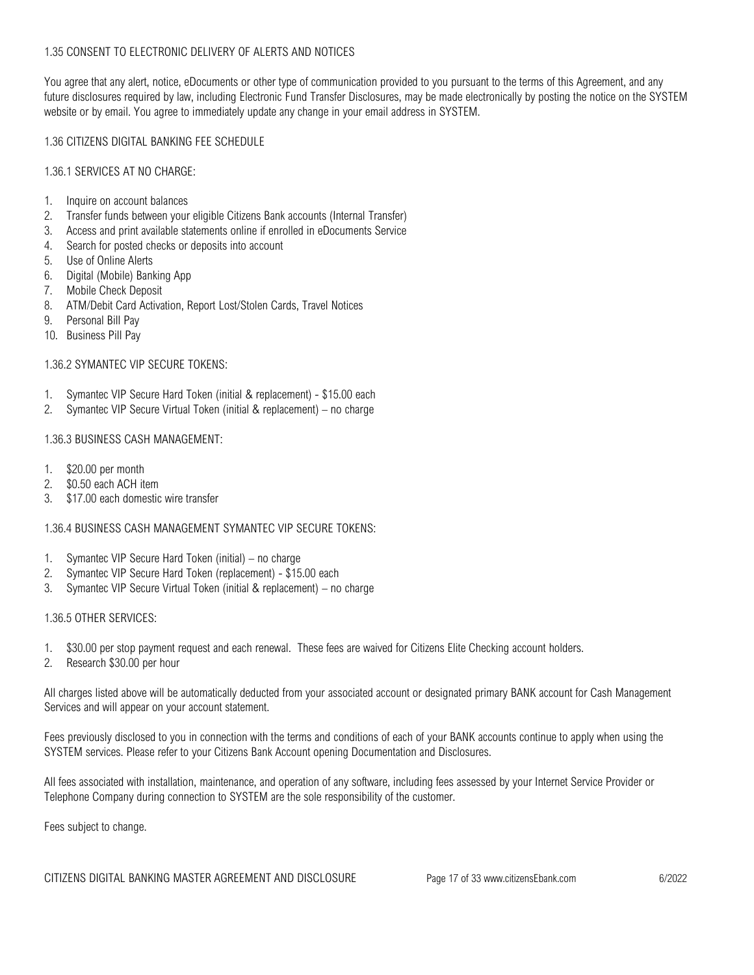# 1.35 CONSENT TO ELECTRONIC DELIVERY OF ALERTS AND NOTICES

You agree that any alert, notice, eDocuments or other type of communication provided to you pursuant to the terms of this Agreement, and any future disclosures required by law, including Electronic Fund Transfer Disclosures, may be made electronically by posting the notice on the SYSTEM website or by email. You agree to immediately update any change in your email address in SYSTEM.

# 1.36 CITIZENS DIGITAL BANKING FEE SCHEDULE

## 1.36.1 SERVICES AT NO CHARGE:

- 1. Inquire on account balances
- 2. Transfer funds between your eligible Citizens Bank accounts (Internal Transfer)
- 3. Access and print available statements online if enrolled in eDocuments Service
- 4. Search for posted checks or deposits into account
- 5. Use of Online Alerts
- 6. Digital (Mobile) Banking App
- 7. Mobile Check Deposit
- 8. ATM/Debit Card Activation, Report Lost/Stolen Cards, Travel Notices
- 9. Personal Bill Pay
- 10. Business Pill Pay

### 1.36.2 SYMANTEC VIP SECURE TOKENS:

- 1. Symantec VIP Secure Hard Token (initial & replacement) \$15.00 each
- 2. Symantec VIP Secure Virtual Token (initial & replacement) no charge

### 1.36.3 BUSINESS CASH MANAGEMENT:

- 1. \$20.00 per month
- 2. \$0.50 each ACH item
- 3. \$17.00 each domestic wire transfer

## 1.36.4 BUSINESS CASH MANAGEMENT SYMANTEC VIP SECURE TOKENS:

- 1. Symantec VIP Secure Hard Token (initial) no charge
- 2. Symantec VIP Secure Hard Token (replacement) \$15.00 each
- 3. Symantec VIP Secure Virtual Token (initial & replacement) no charge

### 1.36.5 OTHER SERVICES:

- 1. \$30.00 per stop payment request and each renewal. These fees are waived for Citizens Elite Checking account holders.
- 2. Research \$30.00 per hour

All charges listed above will be automatically deducted from your associated account or designated primary BANK account for Cash Management Services and will appear on your account statement.

Fees previously disclosed to you in connection with the terms and conditions of each of your BANK accounts continue to apply when using the SYSTEM services. Please refer to your Citizens Bank Account opening Documentation and Disclosures.

All fees associated with installation, maintenance, and operation of any software, including fees assessed by your Internet Service Provider or Telephone Company during connection to SYSTEM are the sole responsibility of the customer.

Fees subject to change.

CITIZENS DIGITAL BANKING MASTER AGREEMENT AND DISCLOSURE Page 17 of 33 www.citizensEbank.com 6/2022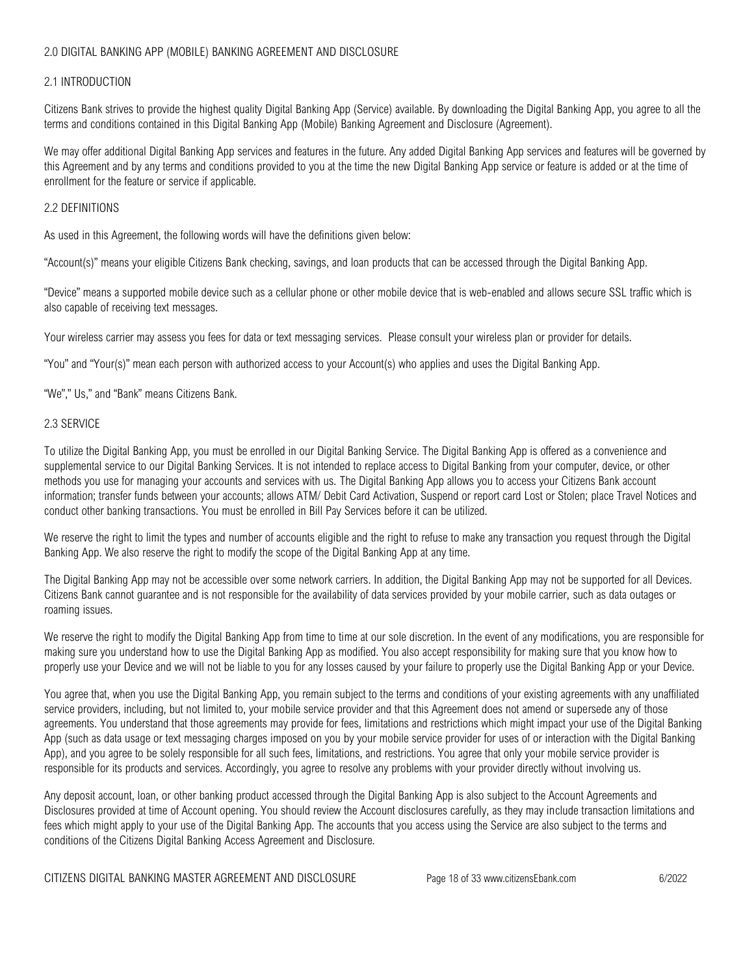# 2.0 DIGITAL BANKING APP (MOBILE) BANKING AGREEMENT AND DISCLOSURE

## 2.1 INTRODUCTION

Citizens Bank strives to provide the highest quality Digital Banking App (Service) available. By downloading the Digital Banking App, you agree to all the terms and conditions contained in this Digital Banking App (Mobile) Banking Agreement and Disclosure (Agreement).

We may offer additional Digital Banking App services and features in the future. Any added Digital Banking App services and features will be governed by this Agreement and by any terms and conditions provided to you at the time the new Digital Banking App service or feature is added or at the time of enrollment for the feature or service if applicable.

### 2.2 DEFINITIONS

As used in this Agreement, the following words will have the definitions given below:

"Account(s)" means your eligible Citizens Bank checking, savings, and loan products that can be accessed through the Digital Banking App.

"Device" means a supported mobile device such as a cellular phone or other mobile device that is web-enabled and allows secure SSL traffic which is also capable of receiving text messages.

Your wireless carrier may assess you fees for data or text messaging services. Please consult your wireless plan or provider for details.

"You" and "Your(s)" mean each person with authorized access to your Account(s) who applies and uses the Digital Banking App.

"We"," Us," and "Bank" means Citizens Bank.

## 2.3 SERVICE

To utilize the Digital Banking App, you must be enrolled in our Digital Banking Service. The Digital Banking App is offered as a convenience and supplemental service to our Digital Banking Services. It is not intended to replace access to Digital Banking from your computer, device, or other methods you use for managing your accounts and services with us. The Digital Banking App allows you to access your Citizens Bank account information; transfer funds between your accounts; allows ATM/ Debit Card Activation, Suspend or report card Lost or Stolen; place Travel Notices and conduct other banking transactions. You must be enrolled in Bill Pay Services before it can be utilized.

We reserve the right to limit the types and number of accounts eligible and the right to refuse to make any transaction you request through the Digital Banking App. We also reserve the right to modify the scope of the Digital Banking App at any time.

The Digital Banking App may not be accessible over some network carriers. In addition, the Digital Banking App may not be supported for all Devices. Citizens Bank cannot guarantee and is not responsible for the availability of data services provided by your mobile carrier, such as data outages or roaming issues.

We reserve the right to modify the Digital Banking App from time to time at our sole discretion. In the event of any modifications, you are responsible for making sure you understand how to use the Digital Banking App as modified. You also accept responsibility for making sure that you know how to properly use your Device and we will not be liable to you for any losses caused by your failure to properly use the Digital Banking App or your Device.

You agree that, when you use the Digital Banking App, you remain subject to the terms and conditions of your existing agreements with any unaffiliated service providers, including, but not limited to, your mobile service provider and that this Agreement does not amend or supersede any of those agreements. You understand that those agreements may provide for fees, limitations and restrictions which might impact your use of the Digital Banking App (such as data usage or text messaging charges imposed on you by your mobile service provider for uses of or interaction with the Digital Banking App), and you agree to be solely responsible for all such fees, limitations, and restrictions. You agree that only your mobile service provider is responsible for its products and services. Accordingly, you agree to resolve any problems with your provider directly without involving us.

Any deposit account, loan, or other banking product accessed through the Digital Banking App is also subject to the Account Agreements and Disclosures provided at time of Account opening. You should review the Account disclosures carefully, as they may include transaction limitations and fees which might apply to your use of the Digital Banking App. The accounts that you access using the Service are also subject to the terms and conditions of the Citizens Digital Banking Access Agreement and Disclosure.

CITIZENS DIGITAL BANKING MASTER AGREEMENT AND DISCLOSURE Page 18 of 33 www.citizensEbank.com 6/2022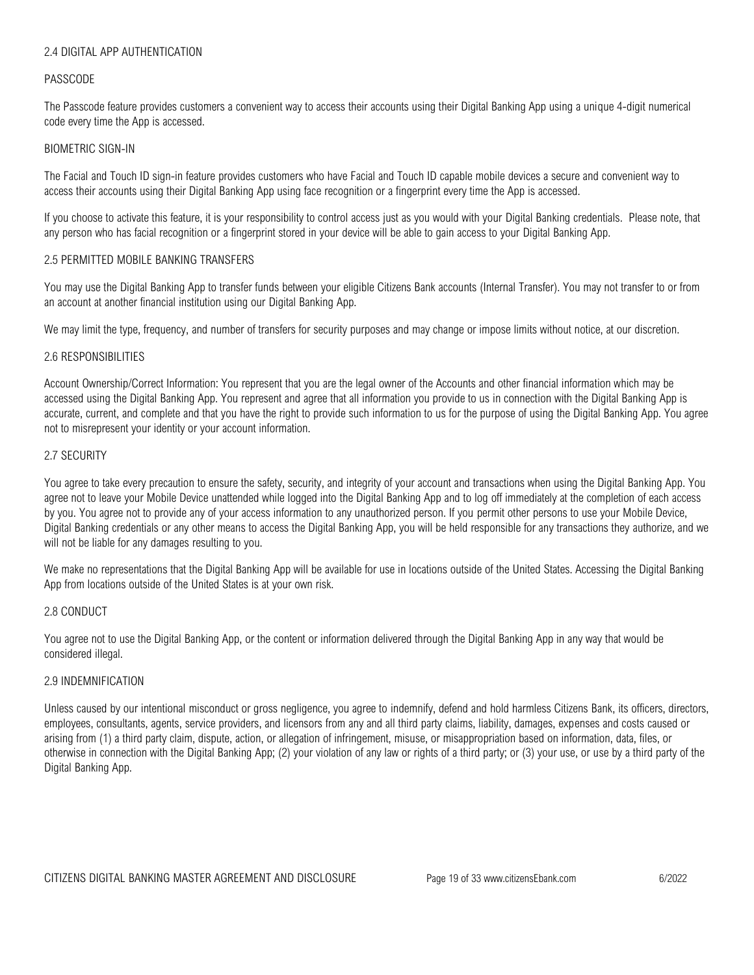## 2.4 DIGITAL APP AUTHENTICATION

#### PASSCODE

The Passcode feature provides customers a convenient way to access their accounts using their Digital Banking App using a unique 4-digit numerical code every time the App is accessed.

#### BIOMETRIC SIGN-IN

The Facial and Touch ID sign-in feature provides customers who have Facial and Touch ID capable mobile devices a secure and convenient way to access their accounts using their Digital Banking App using face recognition or a fingerprint every time the App is accessed.

If you choose to activate this feature, it is your responsibility to control access just as you would with your Digital Banking credentials. Please note, that any person who has facial recognition or a fingerprint stored in your device will be able to gain access to your Digital Banking App.

#### 2.5 PERMITTED MOBILE BANKING TRANSFERS

You may use the Digital Banking App to transfer funds between your eligible Citizens Bank accounts (Internal Transfer). You may not transfer to or from an account at another financial institution using our Digital Banking App.

We may limit the type, frequency, and number of transfers for security purposes and may change or impose limits without notice, at our discretion.

#### 2.6 RESPONSIBILITIES

Account Ownership/Correct Information: You represent that you are the legal owner of the Accounts and other financial information which may be accessed using the Digital Banking App. You represent and agree that all information you provide to us in connection with the Digital Banking App is accurate, current, and complete and that you have the right to provide such information to us for the purpose of using the Digital Banking App. You agree not to misrepresent your identity or your account information.

#### 2.7 SECURITY

You agree to take every precaution to ensure the safety, security, and integrity of your account and transactions when using the Digital Banking App. You agree not to leave your Mobile Device unattended while logged into the Digital Banking App and to log off immediately at the completion of each access by you. You agree not to provide any of your access information to any unauthorized person. If you permit other persons to use your Mobile Device, Digital Banking credentials or any other means to access the Digital Banking App, you will be held responsible for any transactions they authorize, and we will not be liable for any damages resulting to you.

We make no representations that the Digital Banking App will be available for use in locations outside of the United States. Accessing the Digital Banking App from locations outside of the United States is at your own risk.

### 2.8 CONDUCT

You agree not to use the Digital Banking App, or the content or information delivered through the Digital Banking App in any way that would be considered illegal.

### 2.9 INDEMNIFICATION

Unless caused by our intentional misconduct or gross negligence, you agree to indemnify, defend and hold harmless Citizens Bank, its officers, directors, employees, consultants, agents, service providers, and licensors from any and all third party claims, liability, damages, expenses and costs caused or arising from (1) a third party claim, dispute, action, or allegation of infringement, misuse, or misappropriation based on information, data, files, or otherwise in connection with the Digital Banking App; (2) your violation of any law or rights of a third party; or (3) your use, or use by a third party of the Digital Banking App.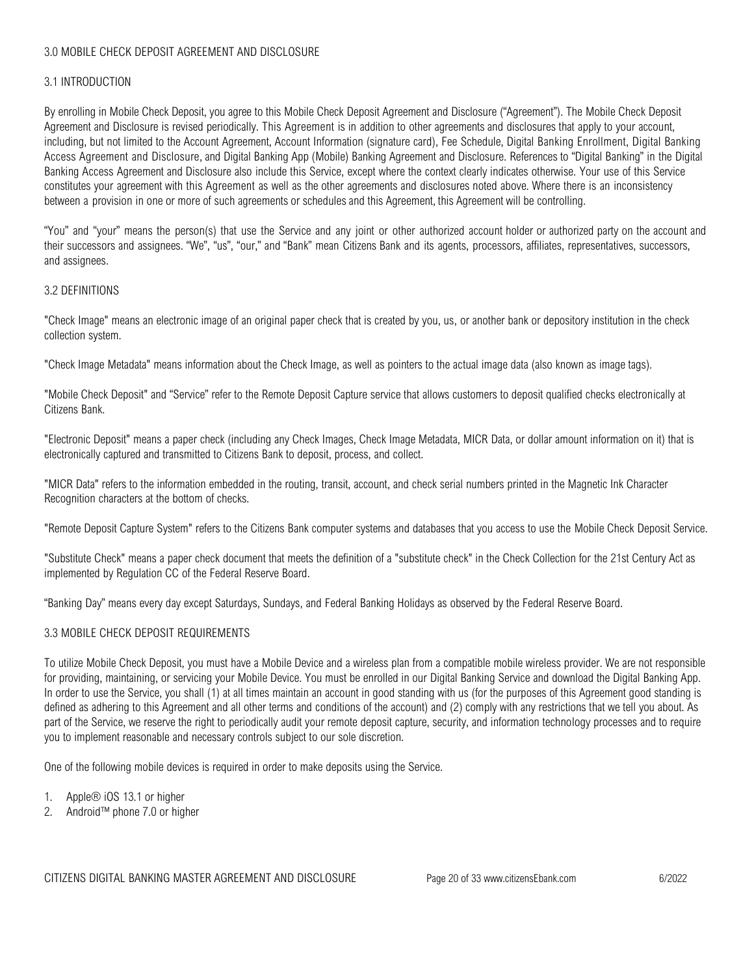# 3.0 MOBILE CHECK DEPOSIT AGREEMENT AND DISCLOSURE

### 3.1 INTRODUCTION

By enrolling in Mobile Check Deposit, you agree to this Mobile Check Deposit Agreement and Disclosure ("Agreement"). The Mobile Check Deposit Agreement and Disclosure is revised periodically. This Agreement is in addition to other agreements and disclosures that apply to your account, including, but not limited to the Account Agreement, Account Information (signature card), Fee Schedule, Digital Banking Enrollment, Digital Banking Access Agreement and Disclosure, and Digital Banking App (Mobile) Banking Agreement and Disclosure. References to "Digital Banking" in the Digital Banking Access Agreement and Disclosure also include this Service, except where the context clearly indicates otherwise. Your use of this Service constitutes your agreement with this Agreement as well as the other agreements and disclosures noted above. Where there is an inconsistency between a provision in one or more of such agreements or schedules and this Agreement, this Agreement will be controlling.

"You" and "your" means the person(s) that use the Service and any joint or other authorized account holder or authorized party on the account and their successors and assignees. "We", "us", "our," and "Bank" mean Citizens Bank and its agents, processors, affiliates, representatives, successors, and assignees.

#### 3.2 DEFINITIONS

"Check Image" means an electronic image of an original paper check that is created by you, us, or another bank or depository institution in the check collection system.

"Check Image Metadata" means information about the Check Image, as well as pointers to the actual image data (also known as image tags).

"Mobile Check Deposit" and "Service" refer to the Remote Deposit Capture service that allows customers to deposit qualified checks electronically at Citizens Bank.

"Electronic Deposit" means a paper check (including any Check Images, Check Image Metadata, MICR Data, or dollar amount information on it) that is electronically captured and transmitted to Citizens Bank to deposit, process, and collect.

"MICR Data" refers to the information embedded in the routing, transit, account, and check serial numbers printed in the Magnetic Ink Character Recognition characters at the bottom of checks.

"Remote Deposit Capture System" refers to the Citizens Bank computer systems and databases that you access to use the Mobile Check Deposit Service.

"Substitute Check" means a paper check document that meets the definition of a "substitute check" in the Check Collection for the 21st Century Act as implemented by Regulation CC of the Federal Reserve Board.

"Banking Day" means every day except Saturdays, Sundays, and Federal Banking Holidays as observed by the Federal Reserve Board.

## 3.3 MOBILE CHECK DEPOSIT REQUIREMENTS

To utilize Mobile Check Deposit, you must have a Mobile Device and a wireless plan from a compatible mobile wireless provider. We are not responsible for providing, maintaining, or servicing your Mobile Device. You must be enrolled in our Digital Banking Service and download the Digital Banking App. In order to use the Service, you shall (1) at all times maintain an account in good standing with us (for the purposes of this Agreement good standing is defined as adhering to this Agreement and all other terms and conditions of the account) and (2) comply with any restrictions that we tell you about. As part of the Service, we reserve the right to periodically audit your remote deposit capture, security, and information technology processes and to require you to implement reasonable and necessary controls subject to our sole discretion.

One of the following mobile devices is required in order to make deposits using the Service.

- 1. Apple® iOS 13.1 or higher
- 2. Android™ phone 7.0 or higher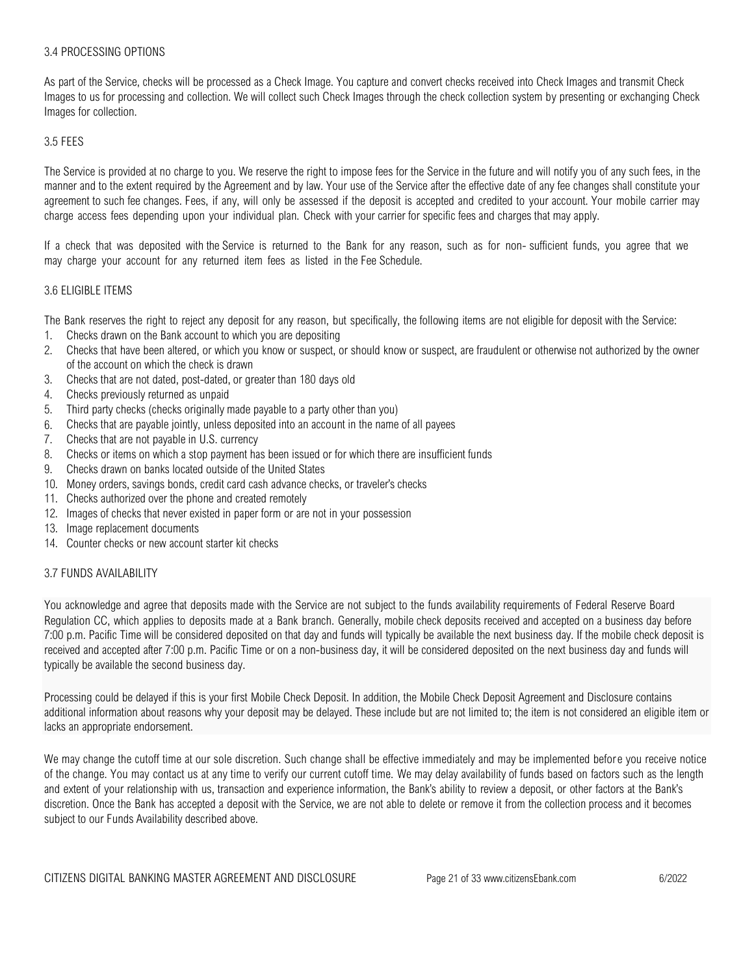#### 3.4 PROCESSING OPTIONS

As part of the Service, checks will be processed as a Check Image. You capture and convert checks received into Check Images and transmit Check Images to us for processing and collection. We will collect such Check Images through the check collection system by presenting or exchanging Check Images for collection.

#### 3.5 FEES

The Service is provided at no charge to you. We reserve the right to impose fees for the Service in the future and will notify you of any such fees, in the manner and to the extent required by the Agreement and by law. Your use of the Service after the effective date of any fee changes shall constitute your agreement to such fee changes. Fees, if any, will only be assessed if the deposit is accepted and credited to your account. Your mobile carrier may charge access fees depending upon your individual plan. Check with your carrier for specific fees and charges that may apply.

If a check that was deposited with the Service is returned to the Bank for any reason, such as for non- sufficient funds, you agree that we may charge your account for any returned item fees as listed in the Fee Schedule.

#### 3.6 ELIGIBLE ITEMS

The Bank reserves the right to reject any deposit for any reason, but specifically, the following items are not eligible for deposit with the Service:

- 1. Checks drawn on the Bank account to which you are depositing
- 2. Checks that have been altered, or which you know or suspect, or should know or suspect, are fraudulent or otherwise not authorized by the owner of the account on which the check is drawn
- 3. Checks that are not dated, post-dated, or greater than 180 days old
- 4. Checks previously returned as unpaid
- 5. Third party checks (checks originally made payable to a party other than you)
- 6. Checks that are payable jointly, unless deposited into an account in the name of all payees
- 7. Checks that are not payable in U.S. currency
- 8. Checks or items on which a stop payment has been issued or for which there are insufficient funds
- 9. Checks drawn on banks located outside of the United States
- 10. Money orders, savings bonds, credit card cash advance checks, or traveler's checks
- 11. Checks authorized over the phone and created remotely
- 12. Images of checks that never existed in paper form or are not in your possession
- 13. Image replacement documents
- 14. Counter checks or new account starter kit checks

#### 3.7 FUNDS AVAILABILITY

You acknowledge and agree that deposits made with the Service are not subject to the funds availability requirements of Federal Reserve Board Regulation CC, which applies to deposits made at a Bank branch. Generally, mobile check deposits received and accepted on a business day before 7:00 p.m. Pacific Time will be considered deposited on that day and funds will typically be available the next business day. If the mobile check deposit is received and accepted after 7:00 p.m. Pacific Time or on a non-business day, it will be considered deposited on the next business day and funds will typically be available the second business day.

Processing could be delayed if this is your first Mobile Check Deposit. In addition, the Mobile Check Deposit Agreement and Disclosure contains additional information about reasons why your deposit may be delayed. These include but are not limited to; the item is not considered an eligible item or lacks an appropriate endorsement.

We may change the cutoff time at our sole discretion. Such change shall be effective immediately and may be implemented before you receive notice of the change. You may contact us at any time to verify our current cutoff time. We may delay availability of funds based on factors such as the length and extent of your relationship with us, transaction and experience information, the Bank's ability to review a deposit, or other factors at the Bank's discretion. Once the Bank has accepted a deposit with the Service, we are not able to delete or remove it from the collection process and it becomes subject to our Funds Availability described above.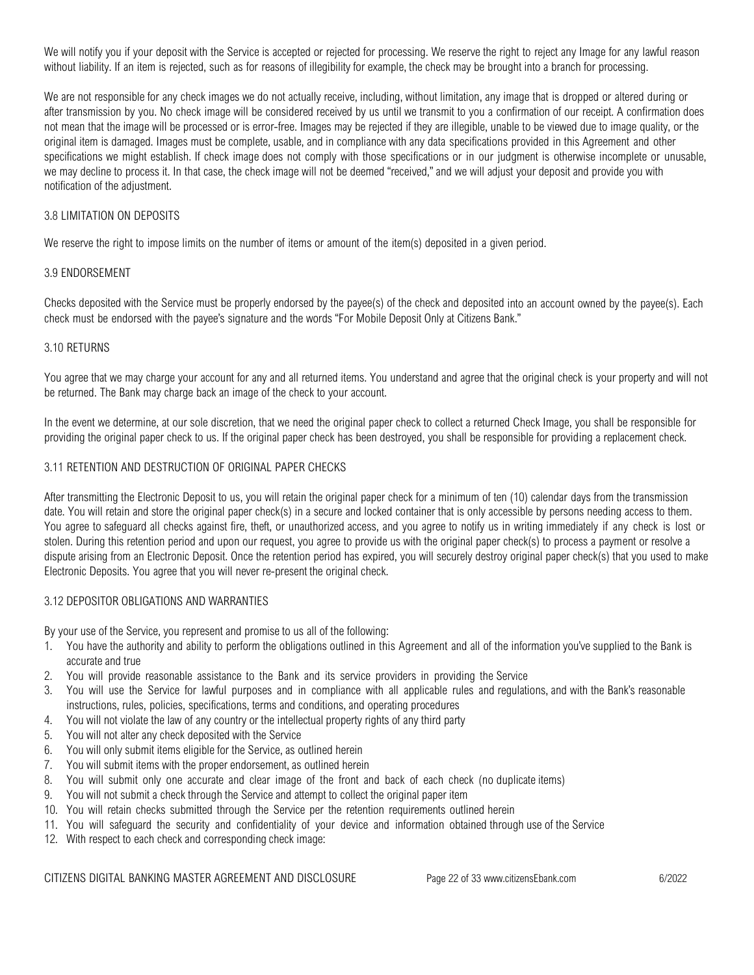We will notify you if your deposit with the Service is accepted or rejected for processing. We reserve the right to reject any Image for any lawful reason without liability. If an item is rejected, such as for reasons of illegibility for example, the check may be brought into a branch for processing.

We are not responsible for any check images we do not actually receive, including, without limitation, any image that is dropped or altered during or after transmission by you. No check image will be considered received by us until we transmit to you a confirmation of our receipt. A confirmation does not mean that the image will be processed or is error-free. Images may be rejected if they are illegible, unable to be viewed due to image quality, or the original item is damaged. Images must be complete, usable, and in compliance with any data specifications provided in this Agreement and other specifications we might establish. If check image does not comply with those specifications or in our judgment is otherwise incomplete or unusable, we may decline to process it. In that case, the check image will not be deemed "received," and we will adjust your deposit and provide you with notification of the adjustment.

## 3.8 LIMITATION ON DEPOSITS

We reserve the right to impose limits on the number of items or amount of the item(s) deposited in a given period.

### 3.9 ENDORSEMENT

Checks deposited with the Service must be properly endorsed by the payee(s) of the check and deposited into an account owned by the payee(s). Each check must be endorsed with the payee's signature and the words "For Mobile Deposit Only at Citizens Bank."

### 3.10 RETURNS

You agree that we may charge your account for any and all returned items. You understand and agree that the original check is your property and will not be returned. The Bank may charge back an image of the check to your account.

In the event we determine, at our sole discretion, that we need the original paper check to collect a returned Check Image, you shall be responsible for providing the original paper check to us. If the original paper check has been destroyed, you shall be responsible for providing a replacement check.

### 3.11 RETENTION AND DESTRUCTION OF ORIGINAL PAPER CHECKS

After transmitting the Electronic Deposit to us, you will retain the original paper check for a minimum of ten (10) calendar days from the transmission date. You will retain and store the original paper check(s) in a secure and locked container that is only accessible by persons needing access to them. You agree to safeguard all checks against fire, theft, or unauthorized access, and you agree to notify us in writing immediately if any check is lost or stolen. During this retention period and upon our request, you agree to provide us with the original paper check(s) to process a payment or resolve a dispute arising from an Electronic Deposit. Once the retention period has expired, you will securely destroy original paper check(s) that you used to make Electronic Deposits. You agree that you will never re-present the original check.

### 3.12 DEPOSITOR OBLIGATIONS AND WARRANTIES

By your use of the Service, you represent and promise to us all of the following:

- 1. You have the authority and ability to perform the obligations outlined in this Agreement and all of the information you've supplied to the Bank is accurate and true
- 2. You will provide reasonable assistance to the Bank and its service providers in providing the Service
- 3. You will use the Service for lawful purposes and in compliance with all applicable rules and regulations, and with the Bank's reasonable instructions, rules, policies, specifications, terms and conditions, and operating procedures
- 4. You will not violate the law of any country or the intellectual property rights of any third party
- 5. You will not alter any check deposited with the Service
- 6. You will only submit items eligible for the Service, as outlined herein
- 7. You will submit items with the proper endorsement, as outlined herein
- 8. You will submit only one accurate and clear image of the front and back of each check (no duplicate items)
- 9. You will not submit a check through the Service and attempt to collect the original paper item
- 10. You will retain checks submitted through the Service per the retention requirements outlined herein
- 11. You will safeguard the security and confidentiality of your device and information obtained through use of the Service
- 12. With respect to each check and corresponding check image:

CITIZENS DIGITAL BANKING MASTER AGREEMENT AND DISCLOSURE Page 22 of 33 www.citizensEbank.com 6/2022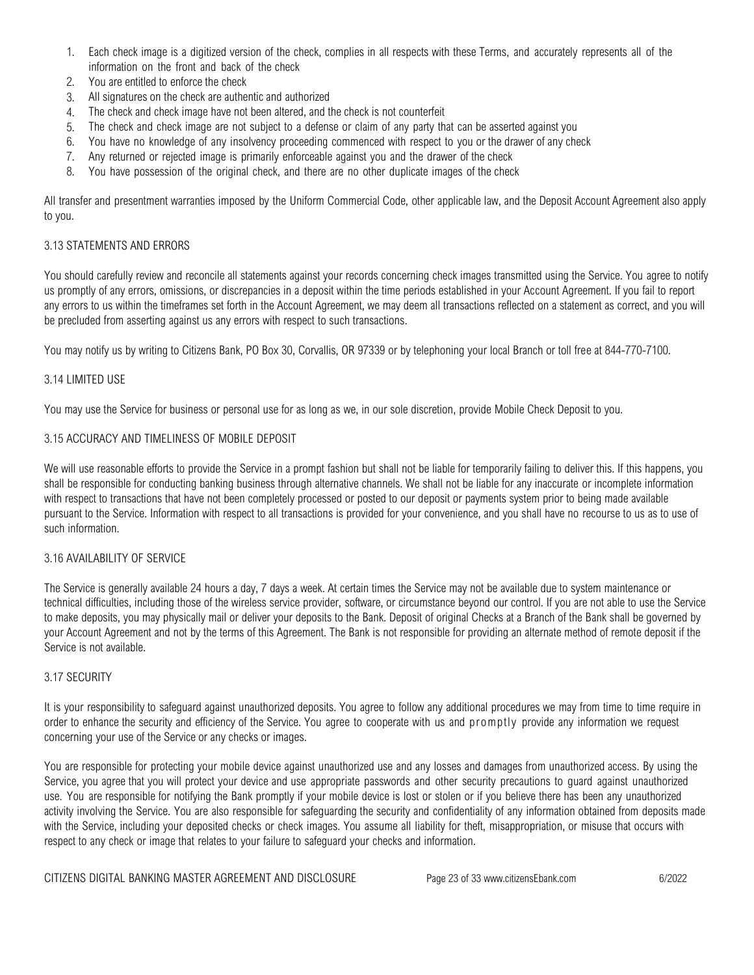- 1. Each check image is a digitized version of the check, complies in all respects with these Terms, and accurately represents all of the information on the front and back of the check
- 2. You are entitled to enforce the check
- 3. All signatures on the check are authentic and authorized
- 4. The check and check image have not been altered, and the check is not counterfeit
- 5. The check and check image are not subject to a defense or claim of any party that can be asserted against you
- 6. You have no knowledge of any insolvency proceeding commenced with respect to you or the drawer of any check
- 7. Any returned or rejected image is primarily enforceable against you and the drawer of the check
- 8. You have possession of the original check, and there are no other duplicate images of the check

All transfer and presentment warranties imposed by the Uniform Commercial Code, other applicable law, and the Deposit Account Agreement also apply to you.

### 3.13 STATEMENTS AND ERRORS

You should carefully review and reconcile all statements against your records concerning check images transmitted using the Service. You agree to notify us promptly of any errors, omissions, or discrepancies in a deposit within the time periods established in your Account Agreement. If you fail to report any errors to us within the timeframes set forth in the Account Agreement, we may deem all transactions reflected on a statement as correct, and you will be precluded from asserting against us any errors with respect to such transactions.

You may notify us by writing to Citizens Bank, PO Box 30, Corvallis, OR 97339 or by telephoning your local Branch or toll free at 844-770-7100.

### 3.14 LIMITED USE

You may use the Service for business or personal use for as long as we, in our sole discretion, provide Mobile Check Deposit to you.

#### 3.15 ACCURACY AND TIMELINESS OF MOBILE DEPOSIT

We will use reasonable efforts to provide the Service in a prompt fashion but shall not be liable for temporarily failing to deliver this. If this happens, you shall be responsible for conducting banking business through alternative channels. We shall not be liable for any inaccurate or incomplete information with respect to transactions that have not been completely processed or posted to our deposit or payments system prior to being made available pursuant to the Service. Information with respect to all transactions is provided for your convenience, and you shall have no recourse to us as to use of such information.

### 3.16 AVAILABILITY OF SERVICE

The Service is generally available 24 hours a day, 7 days a week. At certain times the Service may not be available due to system maintenance or technical difficulties, including those of the wireless service provider, software, or circumstance beyond our control. If you are not able to use the Service to make deposits, you may physically mail or deliver your deposits to the Bank. Deposit of original Checks at a Branch of the Bank shall be governed by your Account Agreement and not by the terms of this Agreement. The Bank is not responsible for providing an alternate method of remote deposit if the Service is not available.

## 3.17 SECURITY

It is your responsibility to safeguard against unauthorized deposits. You agree to follow any additional procedures we may from time to time require in order to enhance the security and efficiency of the Service. You agree to cooperate with us and promptly provide any information we request concerning your use of the Service or any checks or images.

You are responsible for protecting your mobile device against unauthorized use and any losses and damages from unauthorized access. By using the Service, you agree that you will protect your device and use appropriate passwords and other security precautions to guard against unauthorized use. You are responsible for notifying the Bank promptly if your mobile device is lost or stolen or if you believe there has been any unauthorized activity involving the Service. You are also responsible for safeguarding the security and confidentiality of any information obtained from deposits made with the Service, including your deposited checks or check images. You assume all liability for theft, misappropriation, or misuse that occurs with respect to any check or image that relates to your failure to safeguard your checks and information.

CITIZENS DIGITAL BANKING MASTER AGREEMENT AND DISCLOSURE Page 23 of 33 www.citizensEbank.com 6/2022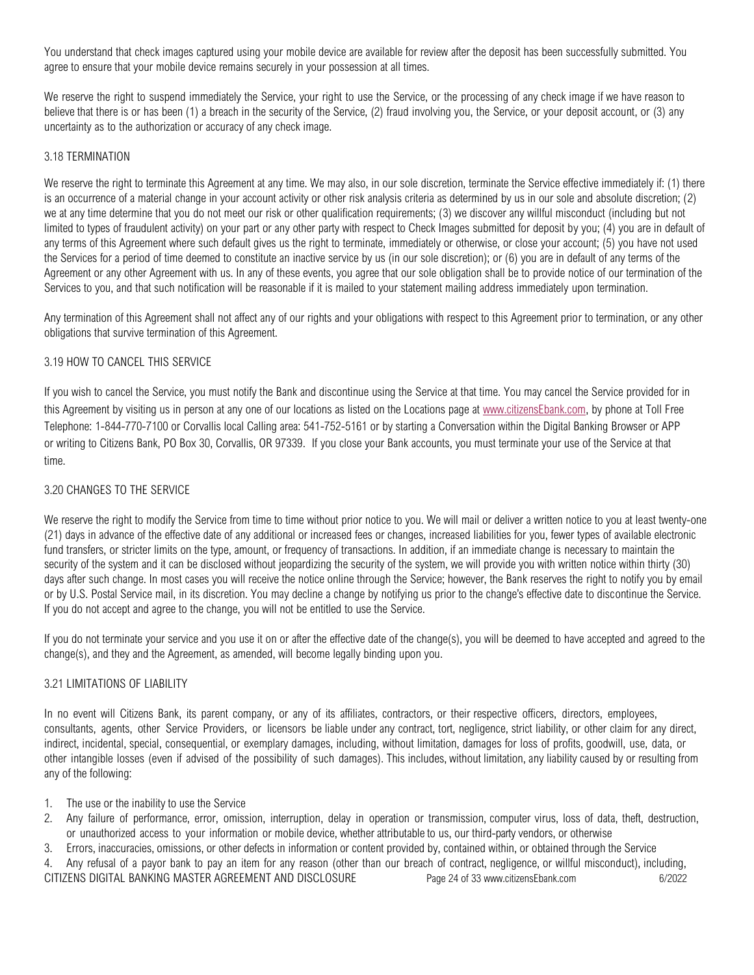You understand that check images captured using your mobile device are available for review after the deposit has been successfully submitted. You agree to ensure that your mobile device remains securely in your possession at all times.

We reserve the right to suspend immediately the Service, your right to use the Service, or the processing of any check image if we have reason to believe that there is or has been (1) a breach in the security of the Service, (2) fraud involving you, the Service, or your deposit account, or (3) any uncertainty as to the authorization or accuracy of any check image.

# 3.18 TERMINATION

We reserve the right to terminate this Agreement at any time. We may also, in our sole discretion, terminate the Service effective immediately if: (1) there is an occurrence of a material change in your account activity or other risk analysis criteria as determined by us in our sole and absolute discretion; (2) we at any time determine that you do not meet our risk or other qualification requirements; (3) we discover any willful misconduct (including but not limited to types of fraudulent activity) on your part or any other party with respect to Check Images submitted for deposit by you; (4) you are in default of any terms of this Agreement where such default gives us the right to terminate, immediately or otherwise, or close your account; (5) you have not used the Services for a period of time deemed to constitute an inactive service by us (in our sole discretion); or (6) you are in default of any terms of the Agreement or any other Agreement with us. In any of these events, you agree that our sole obligation shall be to provide notice of our termination of the Services to you, and that such notification will be reasonable if it is mailed to your statement mailing address immediately upon termination.

Any termination of this Agreement shall not affect any of our rights and your obligations with respect to this Agreement prior to termination, or any other obligations that survive termination of this Agreement.

# 3.19 HOW TO CANCEL THIS SERVICE

If you wish to cancel the Service, you must notify the Bank and discontinue using the Service at that time. You may cancel the Service provided for in this Agreement by visiting us in person at any one of our locations as listed on the Locations page at [www.citizensEbank.com,](www.citizensEbank.com) by phone at Toll Free Telephone: 1-844-770-7100 or Corvallis local Calling area: 541-752-5161 or by starting a Conversation within the Digital Banking Browser or APP or writing to Citizens Bank, PO Box 30, Corvallis, OR 97339. If you close your Bank accounts, you must terminate your use of the Service at that time.

# 3.20 CHANGES TO THE SERVICE

We reserve the right to modify the Service from time to time without prior notice to you. We will mail or deliver a written notice to you at least twenty-one (21) days in advance of the effective date of any additional or increased fees or changes, increased liabilities for you, fewer types of available electronic fund transfers, or stricter limits on the type, amount, or frequency of transactions. In addition, if an immediate change is necessary to maintain the security of the system and it can be disclosed without jeopardizing the security of the system, we will provide you with written notice within thirty (30) days after such change. In most cases you will receive the notice online through the Service; however, the Bank reserves the right to notify you by email or by U.S. Postal Service mail, in its discretion. You may decline a change by notifying us prior to the change's effective date to discontinue the Service. If you do not accept and agree to the change, you will not be entitled to use the Service.

If you do not terminate your service and you use it on or after the effective date of the change(s), you will be deemed to have accepted and agreed to the change(s), and they and the Agreement, as amended, will become legally binding upon you.

# 3.21 LIMITATIONS OF LIABILITY

In no event will Citizens Bank, its parent company, or any of its affiliates, contractors, or their respective officers, directors, employees, consultants, agents, other Service Providers, or licensors be liable under any contract, tort, negligence, strict liability, or other claim for any direct, indirect, incidental, special, consequential, or exemplary damages, including, without limitation, damages for loss of profits, goodwill, use, data, or other intangible losses (even if advised of the possibility of such damages). This includes, without limitation, any liability caused by or resulting from any of the following:

- 1. The use or the inability to use the Service
- 2. Any failure of performance, error, omission, interruption, delay in operation or transmission, computer virus, loss of data, theft, destruction, or unauthorized access to your information or mobile device, whether attributable to us, our third-party vendors, or otherwise
- 3. Errors, inaccuracies, omissions, or other defects in information or content provided by, contained within, or obtained through the Service

CITIZENS DIGITAL BANKING MASTER AGREEMENT AND DISCLOSURE Page 24 of 33 www.citizensEbank.com 6/2022 4. Any refusal of a payor bank to pay an item for any reason (other than our breach of contract, negligence, or willful misconduct), including,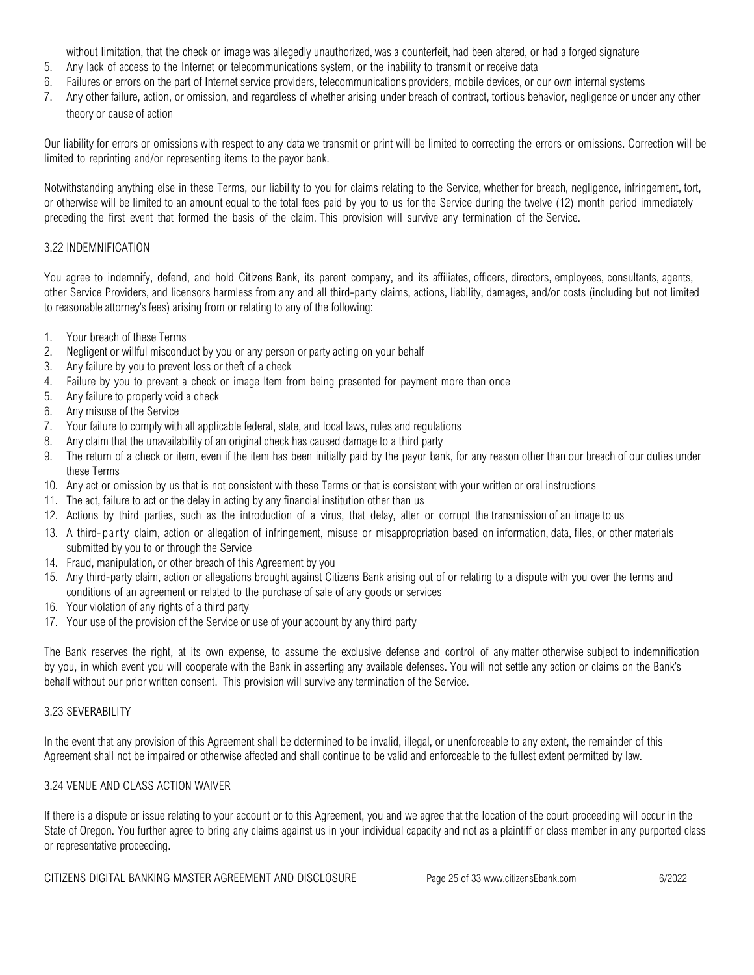without limitation, that the check or image was allegedly unauthorized, was a counterfeit, had been altered, or had a forged signature

- 5. Any lack of access to the Internet or telecommunications system, or the inability to transmit or receive data
- 6. Failures or errors on the part of Internet service providers, telecommunications providers, mobile devices, or our own internal systems
- 7. Any other failure, action, or omission, and regardless of whether arising under breach of contract, tortious behavior, negligence or under any other theory or cause of action

Our liability for errors or omissions with respect to any data we transmit or print will be limited to correcting the errors or omissions. Correction will be limited to reprinting and/or representing items to the payor bank.

Notwithstanding anything else in these Terms, our liability to you for claims relating to the Service, whether for breach, negligence, infringement, tort, or otherwise will be limited to an amount equal to the total fees paid by you to us for the Service during the twelve (12) month period immediately preceding the first event that formed the basis of the claim. This provision will survive any termination of the Service.

## 3.22 INDEMNIFICATION

You agree to indemnify, defend, and hold Citizens Bank, its parent company, and its affiliates, officers, directors, employees, consultants, agents, other Service Providers, and licensors harmless from any and all third-party claims, actions, liability, damages, and/or costs (including but not limited to reasonable attorney's fees) arising from or relating to any of the following:

- 1. Your breach of these Terms
- 2. Negligent or willful misconduct by you or any person or party acting on your behalf
- 3. Any failure by you to prevent loss or theft of a check
- 4. Failure by you to prevent a check or image Item from being presented for payment more than once
- 5. Any failure to properly void a check
- 6. Any misuse of the Service
- 7. Your failure to comply with all applicable federal, state, and local laws, rules and regulations
- 8. Any claim that the unavailability of an original check has caused damage to a third party
- 9. The return of a check or item, even if the item has been initially paid by the payor bank, for any reason other than our breach of our duties under these Terms
- 10. Any act or omission by us that is not consistent with these Terms or that is consistent with your written or oral instructions
- 11. The act, failure to act or the delay in acting by any financial institution other than us
- 12. Actions by third parties, such as the introduction of a virus, that delay, alter or corrupt the transmission of an image to us
- 13. A third-party claim, action or allegation of infringement, misuse or misappropriation based on information, data, files, or other materials submitted by you to or through the Service
- 14. Fraud, manipulation, or other breach of this Agreement by you
- 15. Any third-party claim, action or allegations brought against Citizens Bank arising out of or relating to a dispute with you over the terms and conditions of an agreement or related to the purchase of sale of any goods or services
- 16. Your violation of any rights of a third party
- 17. Your use of the provision of the Service or use of your account by any third party

The Bank reserves the right, at its own expense, to assume the exclusive defense and control of any matter otherwise subject to indemnification by you, in which event you will cooperate with the Bank in asserting any available defenses. You will not settle any action or claims on the Bank's behalf without our prior written consent. This provision will survive any termination of the Service.

### 3.23 SEVERABILITY

In the event that any provision of this Agreement shall be determined to be invalid, illegal, or unenforceable to any extent, the remainder of this Agreement shall not be impaired or otherwise affected and shall continue to be valid and enforceable to the fullest extent permitted by law.

### 3.24 VENUE AND CLASS ACTION WAIVER

If there is a dispute or issue relating to your account or to this Agreement, you and we agree that the location of the court proceeding will occur in the State of Oregon. You further agree to bring any claims against us in your individual capacity and not as a plaintiff or class member in any purported class or representative proceeding.

CITIZENS DIGITAL BANKING MASTER AGREEMENT AND DISCLOSURE Page 25 of 33 www.citizensEbank.com 6/2022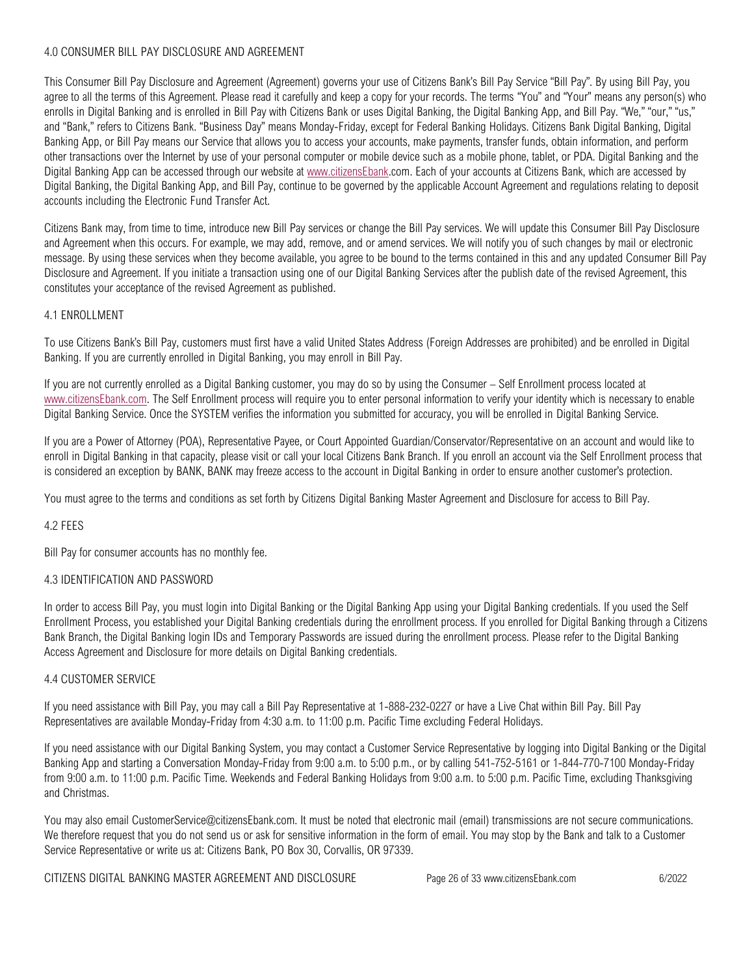## 4.0 CONSUMER BILL PAY DISCLOSURE AND AGREEMENT

This Consumer Bill Pay Disclosure and Agreement (Agreement) governs your use of Citizens Bank's Bill Pay Service "Bill Pay". By using Bill Pay, you agree to all the terms of this Agreement. Please read it carefully and keep a copy for your records. The terms "You" and "Your" means any person(s) who enrolls in Digital Banking and is enrolled in Bill Pay with Citizens Bank or uses Digital Banking, the Digital Banking App, and Bill Pay. "We," "our," "us," and "Bank," refers to Citizens Bank. "Business Day" means Monday-Friday, except for Federal Banking Holidays. Citizens Bank Digital Banking, Digital Banking App, or Bill Pay means our Service that allows you to access your accounts, make payments, transfer funds, obtain information, and perform other transactions over the Internet by use of your personal computer or mobile device such as a mobile phone, tablet, or PDA. Digital Banking and the Digital Banking App can be accessed through our website at [www.citizensEbank.c](http://www.citizensebank/)om. Each of your accounts at Citizens Bank, which are accessed by Digital Banking, the Digital Banking App, and Bill Pay, continue to be governed by the applicable Account Agreement and regulations relating to deposit accounts including the Electronic Fund Transfer Act.

Citizens Bank may, from time to time, introduce new Bill Pay services or change the Bill Pay services. We will update this Consumer Bill Pay Disclosure and Agreement when this occurs. For example, we may add, remove, and or amend services. We will notify you of such changes by mail or electronic message. By using these services when they become available, you agree to be bound to the terms contained in this and any updated Consumer Bill Pay Disclosure and Agreement. If you initiate a transaction using one of our Digital Banking Services after the publish date of the revised Agreement, this constitutes your acceptance of the revised Agreement as published.

### 4.1 ENROLLMENT

To use Citizens Bank's Bill Pay, customers must first have a valid United States Address (Foreign Addresses are prohibited) and be enrolled in Digital Banking. If you are currently enrolled in Digital Banking, you may enroll in Bill Pay.

If you are not currently enrolled as a Digital Banking customer, you may do so by using the Consumer – Self Enrollment process located at [www.citizensEbank.com.](http://www.citizensebank.com/) The Self Enrollment process will require you to enter personal information to verify your identity which is necessary to enable Digital Banking Service. Once the SYSTEM verifies the information you submitted for accuracy, you will be enrolled in Digital Banking Service.

If you are a Power of Attorney (POA), Representative Payee, or Court Appointed Guardian/Conservator/Representative on an account and would like to enroll in Digital Banking in that capacity, please visit or call your local Citizens Bank Branch. If you enroll an account via the Self Enrollment process that is considered an exception by BANK, BANK may freeze access to the account in Digital Banking in order to ensure another customer's protection.

You must agree to the terms and conditions as set forth by Citizens Digital Banking Master Agreement and Disclosure for access to Bill Pay.

### 4.2 FEES

Bill Pay for consumer accounts has no monthly fee.

### 4.3 IDENTIFICATION AND PASSWORD

In order to access Bill Pay, you must login into Digital Banking or the Digital Banking App using your Digital Banking credentials. If you used the Self Enrollment Process, you established your Digital Banking credentials during the enrollment process. If you enrolled for Digital Banking through a Citizens Bank Branch, the Digital Banking login IDs and Temporary Passwords are issued during the enrollment process. Please refer to the Digital Banking Access Agreement and Disclosure for more details on Digital Banking credentials.

### 4.4 CUSTOMER SERVICE

If you need assistance with Bill Pay, you may call a Bill Pay Representative at 1-888-232-0227 or have a Live Chat within Bill Pay. Bill Pay Representatives are available Monday-Friday from 4:30 a.m. to 11:00 p.m. Pacific Time excluding Federal Holidays.

If you need assistance with our Digital Banking System, you may contact a Customer Service Representative by logging into Digital Banking or the Digital Banking App and starting a Conversation Monday-Friday from 9:00 a.m. to 5:00 p.m., or by calling 541-752-5161 or 1-844-770-7100 Monday-Friday from 9:00 a.m. to 11:00 p.m. Pacific Time. Weekends and Federal Banking Holidays from 9:00 a.m. to 5:00 p.m. Pacific Time, excluding Thanksgiving and Christmas.

You may also email CustomerService@citizensEbank.com. It must be noted that electronic mail (email) transmissions are not secure communications. We therefore request that you do not send us or ask for sensitive information in the form of email. You may stop by the Bank and talk to a Customer Service Representative or write us at: Citizens Bank, PO Box 30, Corvallis, OR 97339.

CITIZENS DIGITAL BANKING MASTER AGREEMENT AND DISCLOSURE Page 26 of 33 www.citizensEbank.com 6/2022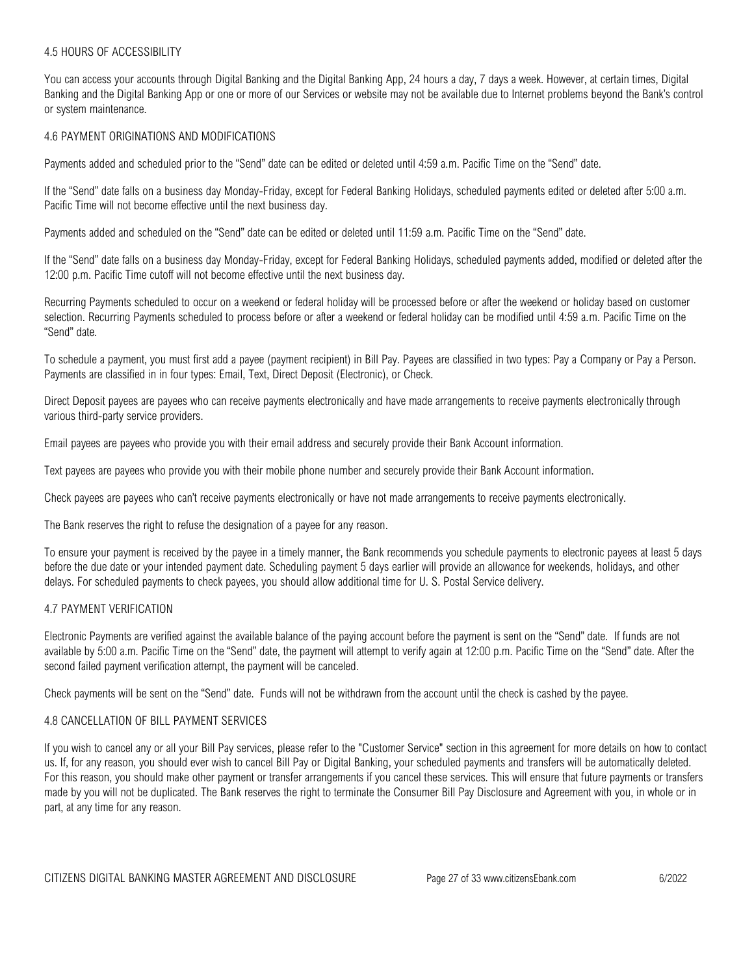### 4.5 HOURS OF ACCESSIBILITY

You can access your accounts through Digital Banking and the Digital Banking App, 24 hours a day, 7 days a week. However, at certain times, Digital Banking and the Digital Banking App or one or more of our Services or website may not be available due to Internet problems beyond the Bank's control or system maintenance.

### 4.6 PAYMENT ORIGINATIONS AND MODIFICATIONS

Payments added and scheduled prior to the "Send" date can be edited or deleted until 4:59 a.m. Pacific Time on the "Send" date.

If the "Send" date falls on a business day Monday-Friday, except for Federal Banking Holidays, scheduled payments edited or deleted after 5:00 a.m. Pacific Time will not become effective until the next business day.

Payments added and scheduled on the "Send" date can be edited or deleted until 11:59 a.m. Pacific Time on the "Send" date.

If the "Send" date falls on a business day Monday-Friday, except for Federal Banking Holidays, scheduled payments added, modified or deleted after the 12:00 p.m. Pacific Time cutoff will not become effective until the next business day.

Recurring Payments scheduled to occur on a weekend or federal holiday will be processed before or after the weekend or holiday based on customer selection. Recurring Payments scheduled to process before or after a weekend or federal holiday can be modified until 4:59 a.m. Pacific Time on the "Send" date.

To schedule a payment, you must first add a payee (payment recipient) in Bill Pay. Payees are classified in two types: Pay a Company or Pay a Person. Payments are classified in in four types: Email, Text, Direct Deposit (Electronic), or Check.

Direct Deposit payees are payees who can receive payments electronically and have made arrangements to receive payments electronically through various third-party service providers.

Email payees are payees who provide you with their email address and securely provide their Bank Account information.

Text payees are payees who provide you with their mobile phone number and securely provide their Bank Account information.

Check payees are payees who can't receive payments electronically or have not made arrangements to receive payments electronically.

The Bank reserves the right to refuse the designation of a payee for any reason.

To ensure your payment is received by the payee in a timely manner, the Bank recommends you schedule payments to electronic payees at least 5 days before the due date or your intended payment date. Scheduling payment 5 days earlier will provide an allowance for weekends, holidays, and other delays. For scheduled payments to check payees, you should allow additional time for U. S. Postal Service delivery.

### 4.7 PAYMENT VERIFICATION

Electronic Payments are verified against the available balance of the paying account before the payment is sent on the "Send" date. If funds are not available by 5:00 a.m. Pacific Time on the "Send" date, the payment will attempt to verify again at 12:00 p.m. Pacific Time on the "Send" date. After the second failed payment verification attempt, the payment will be canceled.

Check payments will be sent on the "Send" date. Funds will not be withdrawn from the account until the check is cashed by the payee.

### 4.8 CANCELLATION OF BILL PAYMENT SERVICES

If you wish to cancel any or all your Bill Pay services, please refer to the "Customer Service" section in this agreement for more details on how to contact us. If, for any reason, you should ever wish to cancel Bill Pay or Digital Banking, your scheduled payments and transfers will be automatically deleted. For this reason, you should make other payment or transfer arrangements if you cancel these services. This will ensure that future payments or transfers made by you will not be duplicated. The Bank reserves the right to terminate the Consumer Bill Pay Disclosure and Agreement with you, in whole or in part, at any time for any reason.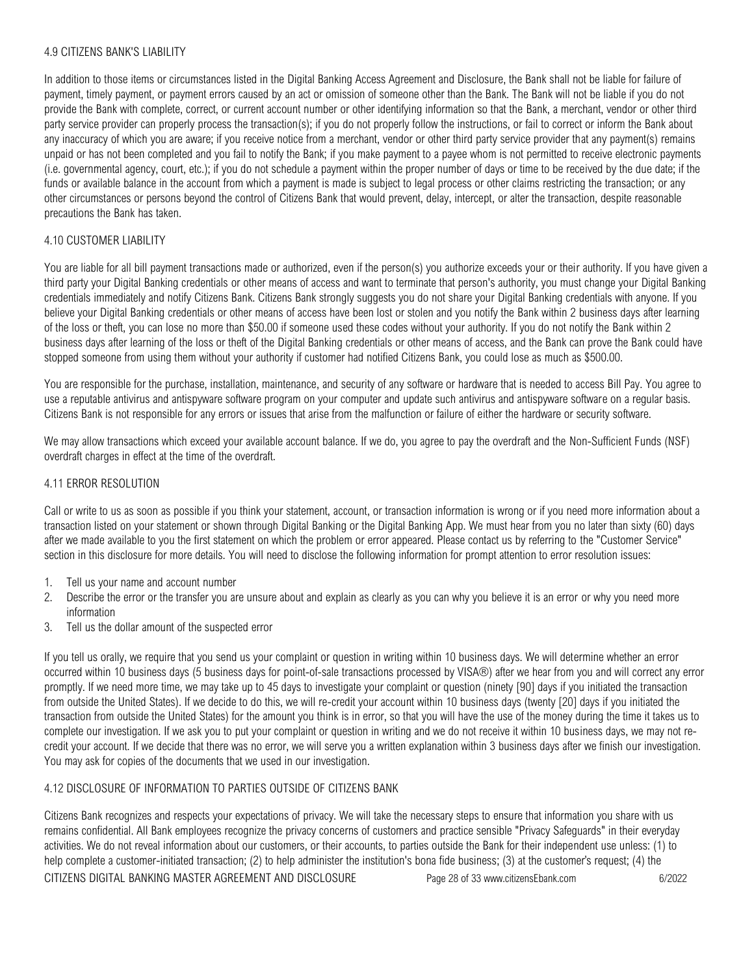### 4.9 CITIZENS BANK'S LIABILITY

In addition to those items or circumstances listed in the Digital Banking Access Agreement and Disclosure, the Bank shall not be liable for failure of payment, timely payment, or payment errors caused by an act or omission of someone other than the Bank. The Bank will not be liable if you do not provide the Bank with complete, correct, or current account number or other identifying information so that the Bank, a merchant, vendor or other third party service provider can properly process the transaction(s); if you do not properly follow the instructions, or fail to correct or inform the Bank about any inaccuracy of which you are aware; if you receive notice from a merchant, vendor or other third party service provider that any payment(s) remains unpaid or has not been completed and you fail to notify the Bank; if you make payment to a payee whom is not permitted to receive electronic payments (i.e. governmental agency, court, etc.); if you do not schedule a payment within the proper number of days or time to be received by the due date; if the funds or available balance in the account from which a payment is made is subject to legal process or other claims restricting the transaction; or any other circumstances or persons beyond the control of Citizens Bank that would prevent, delay, intercept, or alter the transaction, despite reasonable precautions the Bank has taken.

## 4.10 CUSTOMER LIABILITY

You are liable for all bill payment transactions made or authorized, even if the person(s) you authorize exceeds your or their authority. If you have given a third party your Digital Banking credentials or other means of access and want to terminate that person's authority, you must change your Digital Banking credentials immediately and notify Citizens Bank. Citizens Bank strongly suggests you do not share your Digital Banking credentials with anyone. If you believe your Digital Banking credentials or other means of access have been lost or stolen and you notify the Bank within 2 business days after learning of the loss or theft, you can lose no more than \$50.00 if someone used these codes without your authority. If you do not notify the Bank within 2 business days after learning of the loss or theft of the Digital Banking credentials or other means of access, and the Bank can prove the Bank could have stopped someone from using them without your authority if customer had notified Citizens Bank, you could lose as much as \$500.00.

You are responsible for the purchase, installation, maintenance, and security of any software or hardware that is needed to access Bill Pay. You agree to use a reputable antivirus and antispyware software program on your computer and update such antivirus and antispyware software on a regular basis. Citizens Bank is not responsible for any errors or issues that arise from the malfunction or failure of either the hardware or security software.

We may allow transactions which exceed your available account balance. If we do, you agree to pay the overdraft and the Non-Sufficient Funds (NSF) overdraft charges in effect at the time of the overdraft.

### 4.11 ERROR RESOLUTION

Call or write to us as soon as possible if you think your statement, account, or transaction information is wrong or if you need more information about a transaction listed on your statement or shown through Digital Banking or the Digital Banking App. We must hear from you no later than sixty (60) days after we made available to you the first statement on which the problem or error appeared. Please contact us by referring to the "Customer Service" section in this disclosure for more details. You will need to disclose the following information for prompt attention to error resolution issues:

- 1. Tell us your name and account number
- 2. Describe the error or the transfer you are unsure about and explain as clearly as you can why you believe it is an error or why you need more information
- 3. Tell us the dollar amount of the suspected error

If you tell us orally, we require that you send us your complaint or question in writing within 10 business days. We will determine whether an error occurred within 10 business days (5 business days for point-of-sale transactions processed by VISA®) after we hear from you and will correct any error promptly. If we need more time, we may take up to 45 days to investigate your complaint or question (ninety [90] days if you initiated the transaction from outside the United States). If we decide to do this, we will re-credit your account within 10 business days (twenty [20] days if you initiated the transaction from outside the United States) for the amount you think is in error, so that you will have the use of the money during the time it takes us to complete our investigation. If we ask you to put your complaint or question in writing and we do not receive it within 10 business days, we may not recredit your account. If we decide that there was no error, we will serve you a written explanation within 3 business days after we finish our investigation. You may ask for copies of the documents that we used in our investigation.

### 4.12 DISCLOSURE OF INFORMATION TO PARTIES OUTSIDE OF CITIZENS BANK

Citizens Bank recognizes and respects your expectations of privacy. We will take the necessary steps to ensure that information you share with us remains confidential. All Bank employees recognize the privacy concerns of customers and practice sensible "Privacy Safeguards" in their everyday activities. We do not reveal information about our customers, or their accounts, to parties outside the Bank for their independent use unless: (1) to help complete a customer-initiated transaction; (2) to help administer the institution's bona fide business; (3) at the customer's request; (4) the

CITIZENS DIGITAL BANKING MASTER AGREEMENT AND DISCLOSURE Page 28 of 33 www.citizensEbank.com 6/2022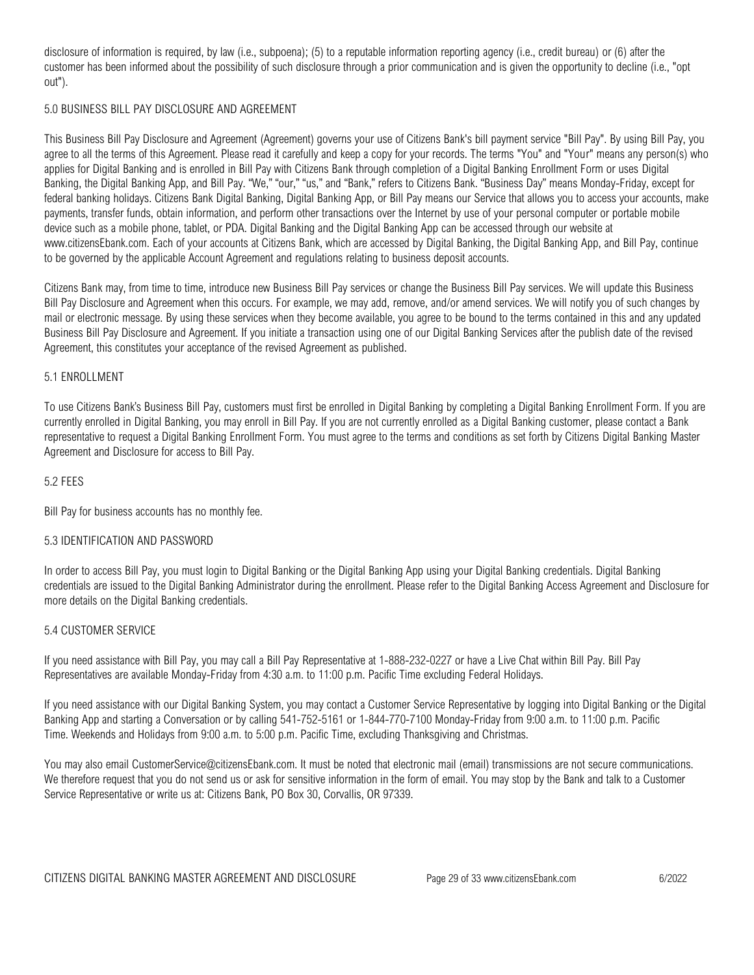disclosure of information is required, by law (i.e., subpoena); (5) to a reputable information reporting agency (i.e., credit bureau) or (6) after the customer has been informed about the possibility of such disclosure through a prior communication and is given the opportunity to decline (i.e., "opt out").

## 5.0 BUSINESS BILL PAY DISCLOSURE AND AGREEMENT

This Business Bill Pay Disclosure and Agreement (Agreement) governs your use of Citizens Bank's bill payment service "Bill Pay". By using Bill Pay, you agree to all the terms of this Agreement. Please read it carefully and keep a copy for your records. The terms "You" and "Your" means any person(s) who applies for Digital Banking and is enrolled in Bill Pay with Citizens Bank through completion of a Digital Banking Enrollment Form or uses Digital Banking, the Digital Banking App, and Bill Pay. "We," "our," "us," and "Bank," refers to Citizens Bank. "Business Day" means Monday-Friday, except for federal banking holidays. Citizens Bank Digital Banking, Digital Banking App, or Bill Pay means our Service that allows you to access your accounts, make payments, transfer funds, obtain information, and perform other transactions over the Internet by use of your personal computer or portable mobile device such as a mobile phone, tablet, or PDA. Digital Banking and the Digital Banking App can be accessed through our website at www.citizensEbank.com. Each of your accounts at Citizens Bank, which are accessed by Digital Banking, the Digital Banking App, and Bill Pay, continue to be governed by the applicable Account Agreement and regulations relating to business deposit accounts.

Citizens Bank may, from time to time, introduce new Business Bill Pay services or change the Business Bill Pay services. We will update this Business Bill Pay Disclosure and Agreement when this occurs. For example, we may add, remove, and/or amend services. We will notify you of such changes by mail or electronic message. By using these services when they become available, you agree to be bound to the terms contained in this and any updated Business Bill Pay Disclosure and Agreement. If you initiate a transaction using one of our Digital Banking Services after the publish date of the revised Agreement, this constitutes your acceptance of the revised Agreement as published.

### 5.1 ENROLLMENT

To use Citizens Bank's Business Bill Pay, customers must first be enrolled in Digital Banking by completing a Digital Banking Enrollment Form. If you are currently enrolled in Digital Banking, you may enroll in Bill Pay. If you are not currently enrolled as a Digital Banking customer, please contact a Bank representative to request a Digital Banking Enrollment Form. You must agree to the terms and conditions as set forth by Citizens Digital Banking Master Agreement and Disclosure for access to Bill Pay.

#### 5.2 FEES

Bill Pay for business accounts has no monthly fee.

#### 5.3 IDENTIFICATION AND PASSWORD

In order to access Bill Pay, you must login to Digital Banking or the Digital Banking App using your Digital Banking credentials. Digital Banking credentials are issued to the Digital Banking Administrator during the enrollment. Please refer to the Digital Banking Access Agreement and Disclosure for more details on the Digital Banking credentials.

### 5.4 CUSTOMER SERVICE

If you need assistance with Bill Pay, you may call a Bill Pay Representative at 1-888-232-0227 or have a Live Chat within Bill Pay. Bill Pay Representatives are available Monday-Friday from 4:30 a.m. to 11:00 p.m. Pacific Time excluding Federal Holidays.

If you need assistance with our Digital Banking System, you may contact a Customer Service Representative by logging into Digital Banking or the Digital Banking App and starting a Conversation or by calling 541-752-5161 or 1-844-770-7100 Monday-Friday from 9:00 a.m. to 11:00 p.m. Pacific Time. Weekends and Holidays from 9:00 a.m. to 5:00 p.m. Pacific Time, excluding Thanksgiving and Christmas.

You may also email CustomerService@citizensEbank.com. It must be noted that electronic mail (email) transmissions are not secure communications. We therefore request that you do not send us or ask for sensitive information in the form of email. You may stop by the Bank and talk to a Customer Service Representative or write us at: Citizens Bank, PO Box 30, Corvallis, OR 97339.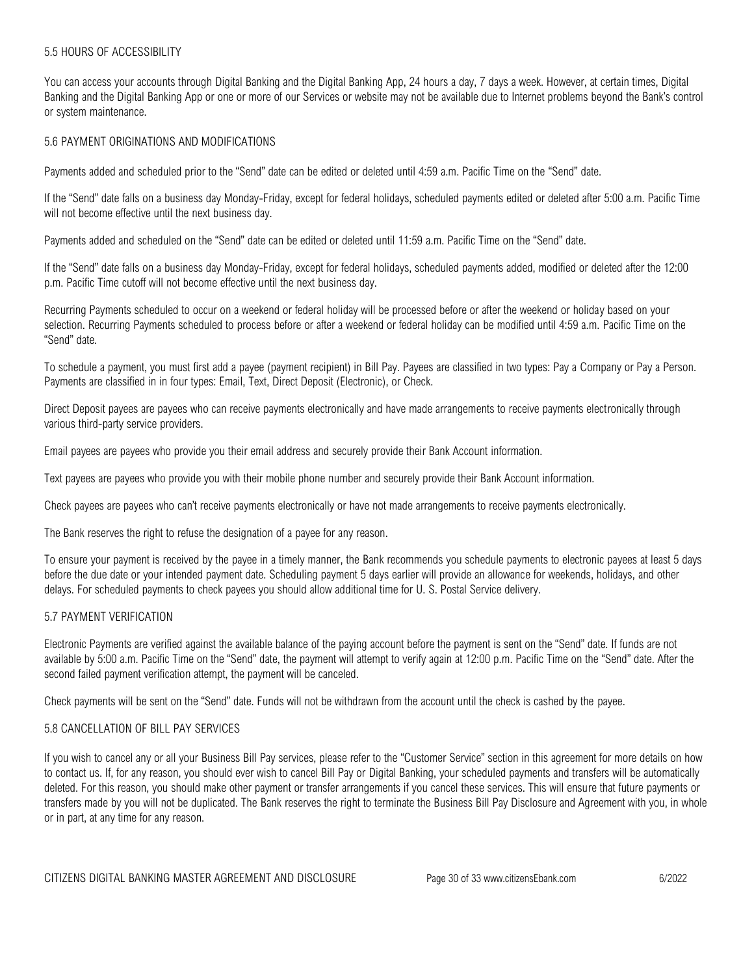### 5.5 HOURS OF ACCESSIBILITY

You can access your accounts through Digital Banking and the Digital Banking App, 24 hours a day, 7 days a week. However, at certain times, Digital Banking and the Digital Banking App or one or more of our Services or website may not be available due to Internet problems beyond the Bank's control or system maintenance.

## 5.6 PAYMENT ORIGINATIONS AND MODIFICATIONS

Payments added and scheduled prior to the "Send" date can be edited or deleted until 4:59 a.m. Pacific Time on the "Send" date.

If the "Send" date falls on a business day Monday-Friday, except for federal holidays, scheduled payments edited or deleted after 5:00 a.m. Pacific Time will not become effective until the next business day.

Payments added and scheduled on the "Send" date can be edited or deleted until 11:59 a.m. Pacific Time on the "Send" date.

If the "Send" date falls on a business day Monday-Friday, except for federal holidays, scheduled payments added, modified or deleted after the 12:00 p.m. Pacific Time cutoff will not become effective until the next business day.

Recurring Payments scheduled to occur on a weekend or federal holiday will be processed before or after the weekend or holiday based on your selection. Recurring Payments scheduled to process before or after a weekend or federal holiday can be modified until 4:59 a.m. Pacific Time on the "Send" date.

To schedule a payment, you must first add a payee (payment recipient) in Bill Pay. Payees are classified in two types: Pay a Company or Pay a Person. Payments are classified in in four types: Email, Text, Direct Deposit (Electronic), or Check.

Direct Deposit payees are payees who can receive payments electronically and have made arrangements to receive payments electronically through various third-party service providers.

Email payees are payees who provide you their email address and securely provide their Bank Account information.

Text payees are payees who provide you with their mobile phone number and securely provide their Bank Account information.

Check payees are payees who can't receive payments electronically or have not made arrangements to receive payments electronically.

The Bank reserves the right to refuse the designation of a payee for any reason.

To ensure your payment is received by the payee in a timely manner, the Bank recommends you schedule payments to electronic payees at least 5 days before the due date or your intended payment date. Scheduling payment 5 days earlier will provide an allowance for weekends, holidays, and other delays. For scheduled payments to check payees you should allow additional time for U. S. Postal Service delivery.

### 5.7 PAYMENT VERIFICATION

Electronic Payments are verified against the available balance of the paying account before the payment is sent on the "Send" date. If funds are not available by 5:00 a.m. Pacific Time on the "Send" date, the payment will attempt to verify again at 12:00 p.m. Pacific Time on the "Send" date. After the second failed payment verification attempt, the payment will be canceled.

Check payments will be sent on the "Send" date. Funds will not be withdrawn from the account until the check is cashed by the payee.

### 5.8 CANCELLATION OF BILL PAY SERVICES

If you wish to cancel any or all your Business Bill Pay services, please refer to the "Customer Service" section in this agreement for more details on how to contact us. If, for any reason, you should ever wish to cancel Bill Pay or Digital Banking, your scheduled payments and transfers will be automatically deleted. For this reason, you should make other payment or transfer arrangements if you cancel these services. This will ensure that future payments or transfers made by you will not be duplicated. The Bank reserves the right to terminate the Business Bill Pay Disclosure and Agreement with you, in whole or in part, at any time for any reason.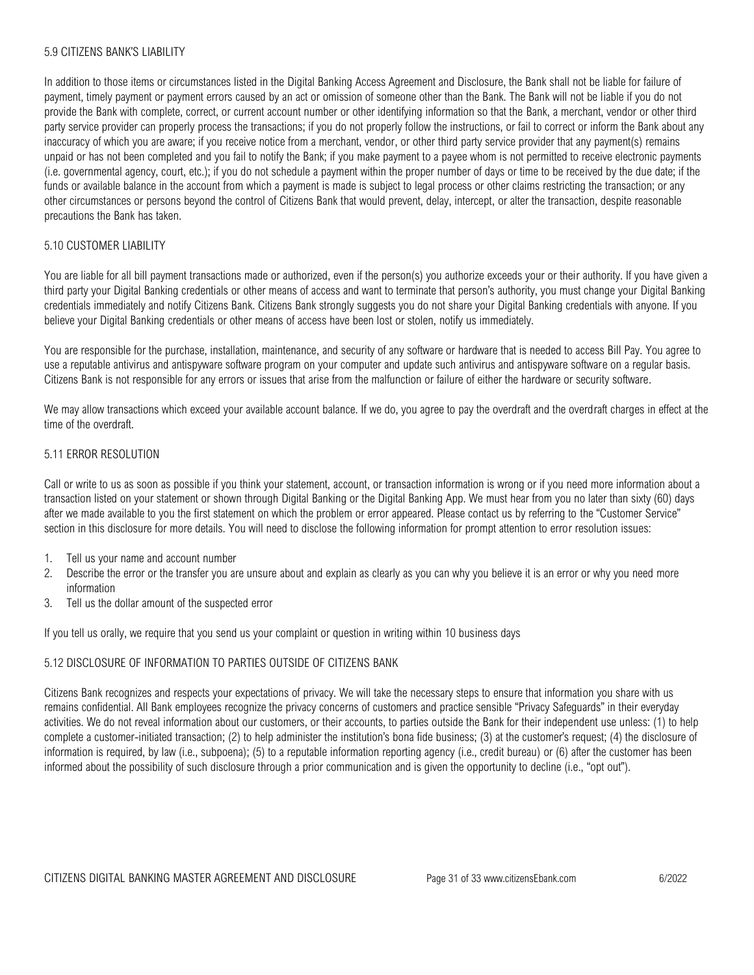### 5.9 CITIZENS BANK'S LIABILITY

In addition to those items or circumstances listed in the Digital Banking Access Agreement and Disclosure, the Bank shall not be liable for failure of payment, timely payment or payment errors caused by an act or omission of someone other than the Bank. The Bank will not be liable if you do not provide the Bank with complete, correct, or current account number or other identifying information so that the Bank, a merchant, vendor or other third party service provider can properly process the transactions; if you do not properly follow the instructions, or fail to correct or inform the Bank about any inaccuracy of which you are aware; if you receive notice from a merchant, vendor, or other third party service provider that any payment(s) remains unpaid or has not been completed and you fail to notify the Bank; if you make payment to a payee whom is not permitted to receive electronic payments (i.e. governmental agency, court, etc.); if you do not schedule a payment within the proper number of days or time to be received by the due date; if the funds or available balance in the account from which a payment is made is subject to legal process or other claims restricting the transaction; or any other circumstances or persons beyond the control of Citizens Bank that would prevent, delay, intercept, or alter the transaction, despite reasonable precautions the Bank has taken.

## 5.10 CUSTOMER LIABILITY

You are liable for all bill payment transactions made or authorized, even if the person(s) you authorize exceeds your or their authority. If you have given a third party your Digital Banking credentials or other means of access and want to terminate that person's authority, you must change your Digital Banking credentials immediately and notify Citizens Bank. Citizens Bank strongly suggests you do not share your Digital Banking credentials with anyone. If you believe your Digital Banking credentials or other means of access have been lost or stolen, notify us immediately.

You are responsible for the purchase, installation, maintenance, and security of any software or hardware that is needed to access Bill Pay. You agree to use a reputable antivirus and antispyware software program on your computer and update such antivirus and antispyware software on a regular basis. Citizens Bank is not responsible for any errors or issues that arise from the malfunction or failure of either the hardware or security software.

We may allow transactions which exceed your available account balance. If we do, you agree to pay the overdraft and the overdraft charges in effect at the time of the overdraft.

## 5.11 ERROR RESOLUTION

Call or write to us as soon as possible if you think your statement, account, or transaction information is wrong or if you need more information about a transaction listed on your statement or shown through Digital Banking or the Digital Banking App. We must hear from you no later than sixty (60) days after we made available to you the first statement on which the problem or error appeared. Please contact us by referring to the "Customer Service" section in this disclosure for more details. You will need to disclose the following information for prompt attention to error resolution issues:

- 1. Tell us your name and account number
- 2. Describe the error or the transfer you are unsure about and explain as clearly as you can why you believe it is an error or why you need more information
- 3. Tell us the dollar amount of the suspected error

If you tell us orally, we require that you send us your complaint or question in writing within 10 business days

### 5.12 DISCLOSURE OF INFORMATION TO PARTIES OUTSIDE OF CITIZENS BANK

Citizens Bank recognizes and respects your expectations of privacy. We will take the necessary steps to ensure that information you share with us remains confidential. All Bank employees recognize the privacy concerns of customers and practice sensible "Privacy Safeguards" in their everyday activities. We do not reveal information about our customers, or their accounts, to parties outside the Bank for their independent use unless: (1) to help complete a customer-initiated transaction; (2) to help administer the institution's bona fide business; (3) at the customer's request; (4) the disclosure of information is required, by law (i.e., subpoena); (5) to a reputable information reporting agency (i.e., credit bureau) or (6) after the customer has been informed about the possibility of such disclosure through a prior communication and is given the opportunity to decline (i.e., "opt out").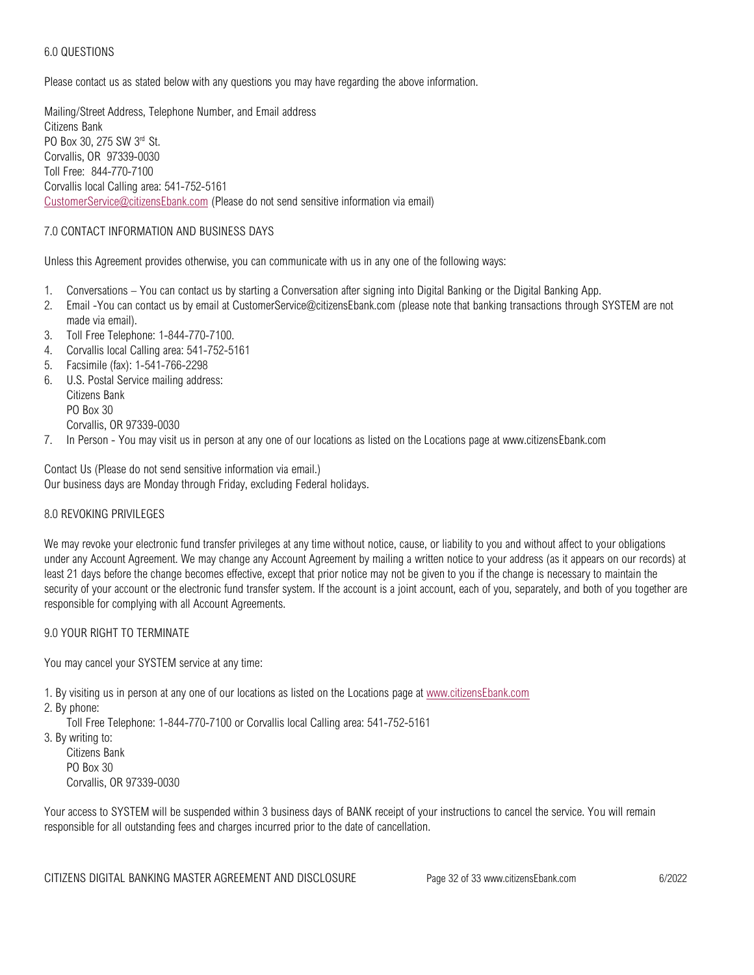# 6.0 QUESTIONS

Please contact us as stated below with any questions you may have regarding the above information.

Mailing/Street Address, Telephone Number, and Email address Citizens Bank PO Box 30, 275 SW 3rd St. Corvallis, OR 97339-0030 Toll Free: 844-770-7100 Corvallis local Calling area: 541-752-5161 [CustomerService@citizensEbank.com](mailto:CustomerService@citizensEbank.com) (Please do not send sensitive information via email)

## 7.0 CONTACT INFORMATION AND BUSINESS DAYS

Unless this Agreement provides otherwise, you can communicate with us in any one of the following ways:

- 1. Conversations You can contact us by starting a Conversation after signing into Digital Banking or the Digital Banking App.
- 2. Email -You can contact us by email at CustomerService@citizensEbank.com (please note that banking transactions through SYSTEM are not made via email).
- 3. Toll Free Telephone: 1-844-770-7100.
- 4. Corvallis local Calling area: 541-752-5161
- 5. Facsimile (fax): 1-541-766-2298
- 6. U.S. Postal Service mailing address: Citizens Bank PO Box 30 Corvallis, OR 97339-0030
- 7. In Person You may visit us in person at any one of our locations as listed on the Locations page at www.citizensEbank.com

Contact Us (Please do not send sensitive information via email.) Our business days are Monday through Friday, excluding Federal holidays.

### 8.0 REVOKING PRIVILEGES

We may revoke your electronic fund transfer privileges at any time without notice, cause, or liability to you and without affect to your obligations under any Account Agreement. We may change any Account Agreement by mailing a written notice to your address (as it appears on our records) at least 21 days before the change becomes effective, except that prior notice may not be given to you if the change is necessary to maintain the security of your account or the electronic fund transfer system. If the account is a joint account, each of you, separately, and both of you together are responsible for complying with all Account Agreements.

### 9.0 YOUR RIGHT TO TERMINATE

You may cancel your SYSTEM service at any time:

1. By visiting us in person at any one of our locations as listed on the Locations page at<www.citizensEbank.com>

2. By phone:

Toll Free Telephone: 1-844-770-7100 or Corvallis local Calling area: 541-752-5161

3. By writing to:

Citizens Bank PO Box 30 Corvallis, OR 97339-0030

Your access to SYSTEM will be suspended within 3 business days of BANK receipt of your instructions to cancel the service. You will remain responsible for all outstanding fees and charges incurred prior to the date of cancellation.

CITIZENS DIGITAL BANKING MASTER AGREEMENT AND DISCLOSURE Page 32 of 33 www.citizensEbank.com 6/2022